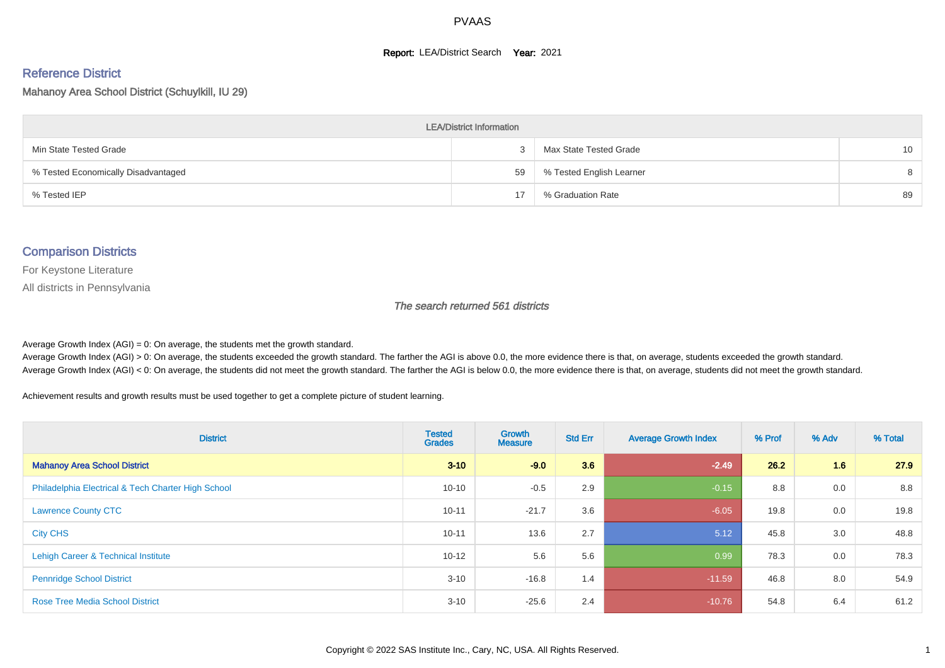#### **Report: LEA/District Search Year: 2021**

# Reference District

#### Mahanoy Area School District (Schuylkill, IU 29)

| <b>LEA/District Information</b>     |    |                          |                 |  |  |  |  |  |  |  |
|-------------------------------------|----|--------------------------|-----------------|--|--|--|--|--|--|--|
| Min State Tested Grade              |    | Max State Tested Grade   | 10 <sup>°</sup> |  |  |  |  |  |  |  |
| % Tested Economically Disadvantaged | 59 | % Tested English Learner | 8               |  |  |  |  |  |  |  |
| % Tested IEP                        |    | % Graduation Rate        | 89              |  |  |  |  |  |  |  |

#### Comparison Districts

For Keystone Literature

All districts in Pennsylvania

The search returned 561 districts

Average Growth Index  $(AGI) = 0$ : On average, the students met the growth standard.

Average Growth Index (AGI) > 0: On average, the students exceeded the growth standard. The farther the AGI is above 0.0, the more evidence there is that, on average, students exceeded the growth standard. Average Growth Index (AGI) < 0: On average, the students did not meet the growth standard. The farther the AGI is below 0.0, the more evidence there is that, on average, students did not meet the growth standard.

Achievement results and growth results must be used together to get a complete picture of student learning.

| <b>District</b>                                    | <b>Tested</b><br><b>Grades</b> | <b>Growth</b><br><b>Measure</b> | <b>Std Err</b> | <b>Average Growth Index</b> | % Prof | % Adv | % Total |
|----------------------------------------------------|--------------------------------|---------------------------------|----------------|-----------------------------|--------|-------|---------|
| <b>Mahanoy Area School District</b>                | $3 - 10$                       | $-9.0$                          | 3.6            | $-2.49$                     | 26.2   | 1.6   | 27.9    |
| Philadelphia Electrical & Tech Charter High School | $10 - 10$                      | $-0.5$                          | 2.9            | $-0.15$                     | 8.8    | 0.0   | 8.8     |
| <b>Lawrence County CTC</b>                         | $10 - 11$                      | $-21.7$                         | 3.6            | $-6.05$                     | 19.8   | 0.0   | 19.8    |
| <b>City CHS</b>                                    | $10 - 11$                      | 13.6                            | 2.7            | 5.12                        | 45.8   | 3.0   | 48.8    |
| Lehigh Career & Technical Institute                | $10 - 12$                      | 5.6                             | 5.6            | 0.99                        | 78.3   | 0.0   | 78.3    |
| <b>Pennridge School District</b>                   | $3 - 10$                       | $-16.8$                         | 1.4            | $-11.59$                    | 46.8   | 8.0   | 54.9    |
| <b>Rose Tree Media School District</b>             | $3 - 10$                       | $-25.6$                         | 2.4            | $-10.76$                    | 54.8   | 6.4   | 61.2    |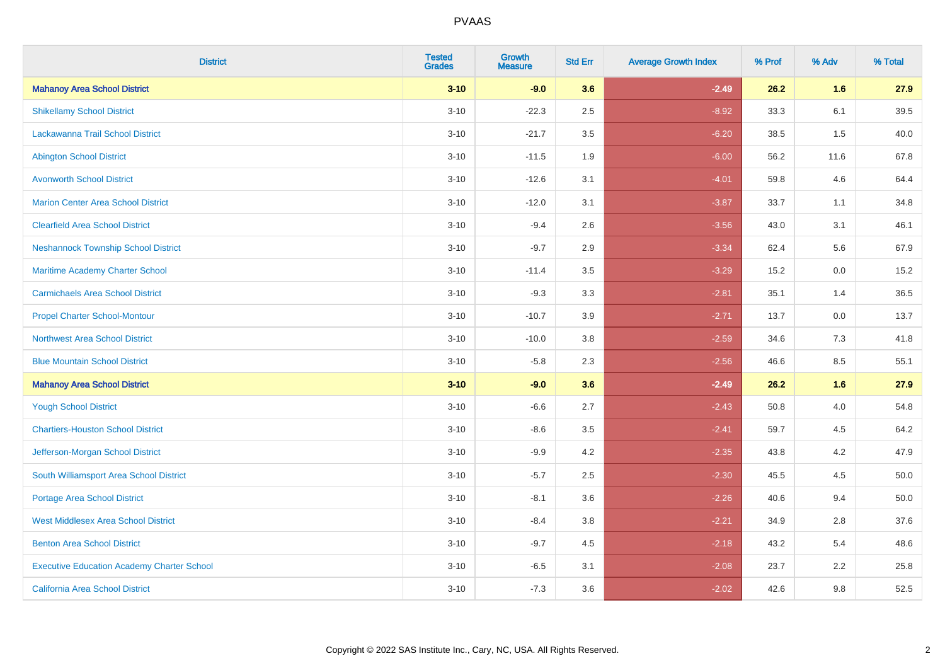| <b>District</b>                                   | <b>Tested</b><br><b>Grades</b> | <b>Growth</b><br><b>Measure</b> | <b>Std Err</b> | <b>Average Growth Index</b> | % Prof | % Adv | % Total |
|---------------------------------------------------|--------------------------------|---------------------------------|----------------|-----------------------------|--------|-------|---------|
| <b>Mahanoy Area School District</b>               | $3 - 10$                       | $-9.0$                          | 3.6            | $-2.49$                     | 26.2   | 1.6   | 27.9    |
| <b>Shikellamy School District</b>                 | $3 - 10$                       | $-22.3$                         | 2.5            | $-8.92$                     | 33.3   | 6.1   | 39.5    |
| <b>Lackawanna Trail School District</b>           | $3 - 10$                       | $-21.7$                         | 3.5            | $-6.20$                     | 38.5   | 1.5   | 40.0    |
| <b>Abington School District</b>                   | $3 - 10$                       | $-11.5$                         | 1.9            | $-6.00$                     | 56.2   | 11.6  | 67.8    |
| <b>Avonworth School District</b>                  | $3 - 10$                       | $-12.6$                         | 3.1            | $-4.01$                     | 59.8   | 4.6   | 64.4    |
| <b>Marion Center Area School District</b>         | $3 - 10$                       | $-12.0$                         | 3.1            | $-3.87$                     | 33.7   | 1.1   | 34.8    |
| <b>Clearfield Area School District</b>            | $3 - 10$                       | $-9.4$                          | 2.6            | $-3.56$                     | 43.0   | 3.1   | 46.1    |
| <b>Neshannock Township School District</b>        | $3 - 10$                       | $-9.7$                          | 2.9            | $-3.34$                     | 62.4   | 5.6   | 67.9    |
| Maritime Academy Charter School                   | $3 - 10$                       | $-11.4$                         | 3.5            | $-3.29$                     | 15.2   | 0.0   | 15.2    |
| <b>Carmichaels Area School District</b>           | $3 - 10$                       | $-9.3$                          | 3.3            | $-2.81$                     | 35.1   | 1.4   | 36.5    |
| <b>Propel Charter School-Montour</b>              | $3 - 10$                       | $-10.7$                         | 3.9            | $-2.71$                     | 13.7   | 0.0   | 13.7    |
| <b>Northwest Area School District</b>             | $3 - 10$                       | $-10.0$                         | 3.8            | $-2.59$                     | 34.6   | 7.3   | 41.8    |
| <b>Blue Mountain School District</b>              | $3 - 10$                       | $-5.8$                          | 2.3            | $-2.56$                     | 46.6   | 8.5   | 55.1    |
| <b>Mahanoy Area School District</b>               | $3 - 10$                       | $-9.0$                          | 3.6            | $-2.49$                     | 26.2   | 1.6   | 27.9    |
| <b>Yough School District</b>                      | $3 - 10$                       | $-6.6$                          | 2.7            | $-2.43$                     | 50.8   | 4.0   | 54.8    |
| <b>Chartiers-Houston School District</b>          | $3 - 10$                       | $-8.6$                          | 3.5            | $-2.41$                     | 59.7   | 4.5   | 64.2    |
| Jefferson-Morgan School District                  | $3 - 10$                       | $-9.9$                          | 4.2            | $-2.35$                     | 43.8   | 4.2   | 47.9    |
| South Williamsport Area School District           | $3 - 10$                       | $-5.7$                          | 2.5            | $-2.30$                     | 45.5   | 4.5   | 50.0    |
| Portage Area School District                      | $3 - 10$                       | $-8.1$                          | 3.6            | $-2.26$                     | 40.6   | 9.4   | 50.0    |
| <b>West Middlesex Area School District</b>        | $3 - 10$                       | $-8.4$                          | 3.8            | $-2.21$                     | 34.9   | 2.8   | 37.6    |
| <b>Benton Area School District</b>                | $3 - 10$                       | $-9.7$                          | 4.5            | $-2.18$                     | 43.2   | 5.4   | 48.6    |
| <b>Executive Education Academy Charter School</b> | $3 - 10$                       | $-6.5$                          | 3.1            | $-2.08$                     | 23.7   | 2.2   | 25.8    |
| California Area School District                   | $3 - 10$                       | $-7.3$                          | 3.6            | $-2.02$                     | 42.6   | 9.8   | 52.5    |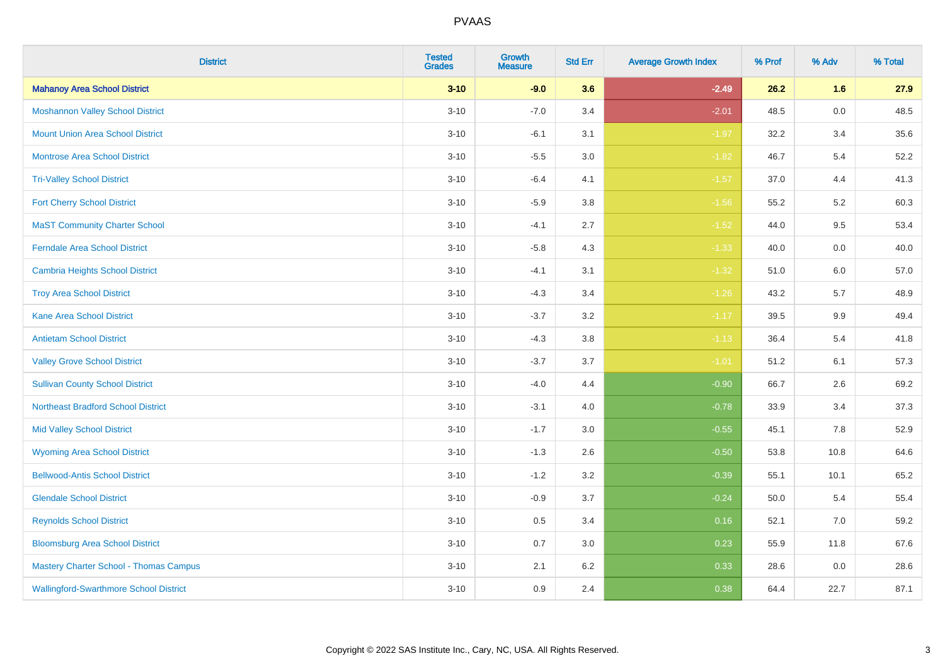| <b>District</b>                               | <b>Tested</b><br><b>Grades</b> | <b>Growth</b><br><b>Measure</b> | <b>Std Err</b> | <b>Average Growth Index</b> | % Prof | % Adv   | % Total |
|-----------------------------------------------|--------------------------------|---------------------------------|----------------|-----------------------------|--------|---------|---------|
| <b>Mahanoy Area School District</b>           | $3 - 10$                       | $-9.0$                          | 3.6            | $-2.49$                     | 26.2   | 1.6     | 27.9    |
| <b>Moshannon Valley School District</b>       | $3 - 10$                       | $-7.0$                          | 3.4            | $-2.01$                     | 48.5   | $0.0\,$ | 48.5    |
| <b>Mount Union Area School District</b>       | $3 - 10$                       | $-6.1$                          | 3.1            | $-1.97$                     | 32.2   | 3.4     | 35.6    |
| <b>Montrose Area School District</b>          | $3 - 10$                       | $-5.5$                          | 3.0            | $-1.82$                     | 46.7   | 5.4     | 52.2    |
| <b>Tri-Valley School District</b>             | $3 - 10$                       | $-6.4$                          | 4.1            | $-1.57$                     | 37.0   | 4.4     | 41.3    |
| <b>Fort Cherry School District</b>            | $3 - 10$                       | $-5.9$                          | 3.8            | $-1.56$                     | 55.2   | 5.2     | 60.3    |
| <b>MaST Community Charter School</b>          | $3 - 10$                       | $-4.1$                          | 2.7            | $-1.52$                     | 44.0   | 9.5     | 53.4    |
| <b>Ferndale Area School District</b>          | $3 - 10$                       | $-5.8$                          | 4.3            | $-1.33$                     | 40.0   | 0.0     | 40.0    |
| <b>Cambria Heights School District</b>        | $3 - 10$                       | $-4.1$                          | 3.1            | $-1.32$                     | 51.0   | 6.0     | 57.0    |
| <b>Troy Area School District</b>              | $3 - 10$                       | $-4.3$                          | 3.4            | $-1.26$                     | 43.2   | 5.7     | 48.9    |
| <b>Kane Area School District</b>              | $3 - 10$                       | $-3.7$                          | 3.2            | $-1.17$                     | 39.5   | 9.9     | 49.4    |
| <b>Antietam School District</b>               | $3 - 10$                       | $-4.3$                          | 3.8            | $-1.13$                     | 36.4   | 5.4     | 41.8    |
| <b>Valley Grove School District</b>           | $3 - 10$                       | $-3.7$                          | 3.7            | $-1.01$                     | 51.2   | 6.1     | 57.3    |
| <b>Sullivan County School District</b>        | $3 - 10$                       | $-4.0$                          | 4.4            | $-0.90$                     | 66.7   | 2.6     | 69.2    |
| <b>Northeast Bradford School District</b>     | $3 - 10$                       | $-3.1$                          | 4.0            | $-0.78$                     | 33.9   | 3.4     | 37.3    |
| <b>Mid Valley School District</b>             | $3 - 10$                       | $-1.7$                          | 3.0            | $-0.55$                     | 45.1   | 7.8     | 52.9    |
| <b>Wyoming Area School District</b>           | $3 - 10$                       | $-1.3$                          | 2.6            | $-0.50$                     | 53.8   | 10.8    | 64.6    |
| <b>Bellwood-Antis School District</b>         | $3 - 10$                       | $-1.2$                          | 3.2            | $-0.39$                     | 55.1   | 10.1    | 65.2    |
| <b>Glendale School District</b>               | $3 - 10$                       | $-0.9$                          | 3.7            | $-0.24$                     | 50.0   | 5.4     | 55.4    |
| <b>Reynolds School District</b>               | $3 - 10$                       | 0.5                             | 3.4            | 0.16                        | 52.1   | 7.0     | 59.2    |
| <b>Bloomsburg Area School District</b>        | $3 - 10$                       | 0.7                             | 3.0            | 0.23                        | 55.9   | 11.8    | 67.6    |
| <b>Mastery Charter School - Thomas Campus</b> | $3 - 10$                       | 2.1                             | 6.2            | 0.33                        | 28.6   | 0.0     | 28.6    |
| <b>Wallingford-Swarthmore School District</b> | $3 - 10$                       | 0.9                             | 2.4            | 0.38                        | 64.4   | 22.7    | 87.1    |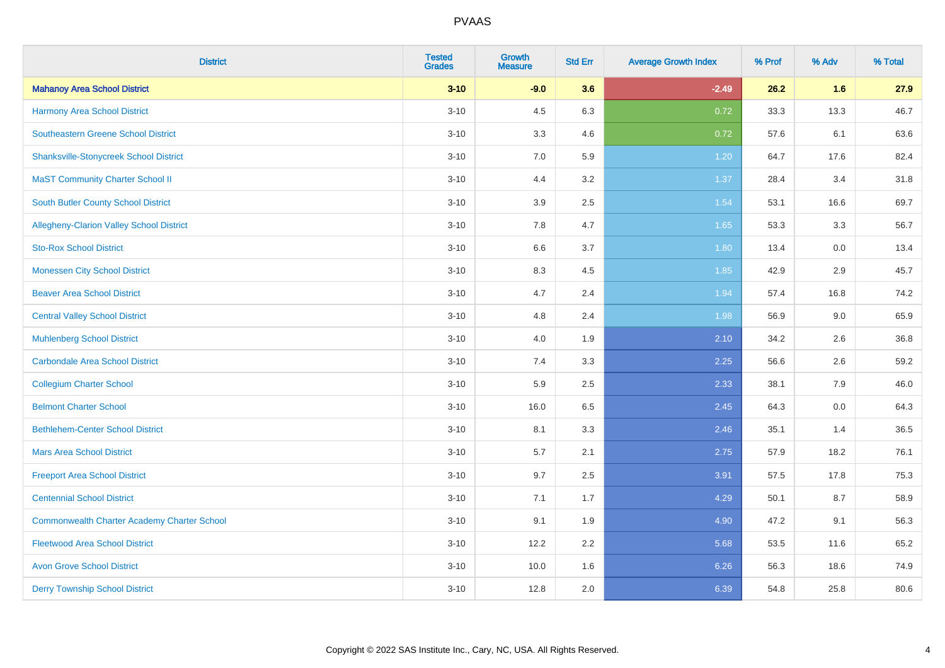| <b>District</b>                                    | <b>Tested</b><br><b>Grades</b> | <b>Growth</b><br><b>Measure</b> | <b>Std Err</b> | <b>Average Growth Index</b> | % Prof | % Adv | % Total |
|----------------------------------------------------|--------------------------------|---------------------------------|----------------|-----------------------------|--------|-------|---------|
| <b>Mahanoy Area School District</b>                | $3 - 10$                       | $-9.0$                          | 3.6            | $-2.49$                     | 26.2   | 1.6   | 27.9    |
| <b>Harmony Area School District</b>                | $3 - 10$                       | 4.5                             | 6.3            | 0.72                        | 33.3   | 13.3  | 46.7    |
| Southeastern Greene School District                | $3 - 10$                       | 3.3                             | 4.6            | 0.72                        | 57.6   | 6.1   | 63.6    |
| <b>Shanksville-Stonycreek School District</b>      | $3 - 10$                       | 7.0                             | 5.9            | 1.20                        | 64.7   | 17.6  | 82.4    |
| <b>MaST Community Charter School II</b>            | $3 - 10$                       | 4.4                             | 3.2            | 1.37                        | 28.4   | 3.4   | 31.8    |
| <b>South Butler County School District</b>         | $3 - 10$                       | 3.9                             | 2.5            | 1.54                        | 53.1   | 16.6  | 69.7    |
| Allegheny-Clarion Valley School District           | $3 - 10$                       | 7.8                             | 4.7            | 1.65                        | 53.3   | 3.3   | 56.7    |
| <b>Sto-Rox School District</b>                     | $3 - 10$                       | 6.6                             | 3.7            | 1.80                        | 13.4   | 0.0   | 13.4    |
| <b>Monessen City School District</b>               | $3 - 10$                       | 8.3                             | 4.5            | 1.85                        | 42.9   | 2.9   | 45.7    |
| <b>Beaver Area School District</b>                 | $3 - 10$                       | 4.7                             | 2.4            | 1.94                        | 57.4   | 16.8  | 74.2    |
| <b>Central Valley School District</b>              | $3 - 10$                       | 4.8                             | 2.4            | 1.98                        | 56.9   | 9.0   | 65.9    |
| <b>Muhlenberg School District</b>                  | $3 - 10$                       | 4.0                             | 1.9            | 2.10                        | 34.2   | 2.6   | 36.8    |
| <b>Carbondale Area School District</b>             | $3 - 10$                       | 7.4                             | 3.3            | 2.25                        | 56.6   | 2.6   | 59.2    |
| <b>Collegium Charter School</b>                    | $3 - 10$                       | 5.9                             | 2.5            | 2.33                        | 38.1   | 7.9   | 46.0    |
| <b>Belmont Charter School</b>                      | $3 - 10$                       | 16.0                            | 6.5            | 2.45                        | 64.3   | 0.0   | 64.3    |
| <b>Bethlehem-Center School District</b>            | $3 - 10$                       | 8.1                             | 3.3            | 2.46                        | 35.1   | 1.4   | 36.5    |
| <b>Mars Area School District</b>                   | $3 - 10$                       | 5.7                             | 2.1            | 2.75                        | 57.9   | 18.2  | 76.1    |
| <b>Freeport Area School District</b>               | $3 - 10$                       | 9.7                             | 2.5            | 3.91                        | 57.5   | 17.8  | 75.3    |
| <b>Centennial School District</b>                  | $3 - 10$                       | 7.1                             | 1.7            | 4.29                        | 50.1   | 8.7   | 58.9    |
| <b>Commonwealth Charter Academy Charter School</b> | $3 - 10$                       | 9.1                             | 1.9            | 4.90                        | 47.2   | 9.1   | 56.3    |
| <b>Fleetwood Area School District</b>              | $3 - 10$                       | 12.2                            | 2.2            | 5.68                        | 53.5   | 11.6  | 65.2    |
| <b>Avon Grove School District</b>                  | $3 - 10$                       | 10.0                            | 1.6            | 6.26                        | 56.3   | 18.6  | 74.9    |
| <b>Derry Township School District</b>              | $3 - 10$                       | 12.8                            | 2.0            | 6.39                        | 54.8   | 25.8  | 80.6    |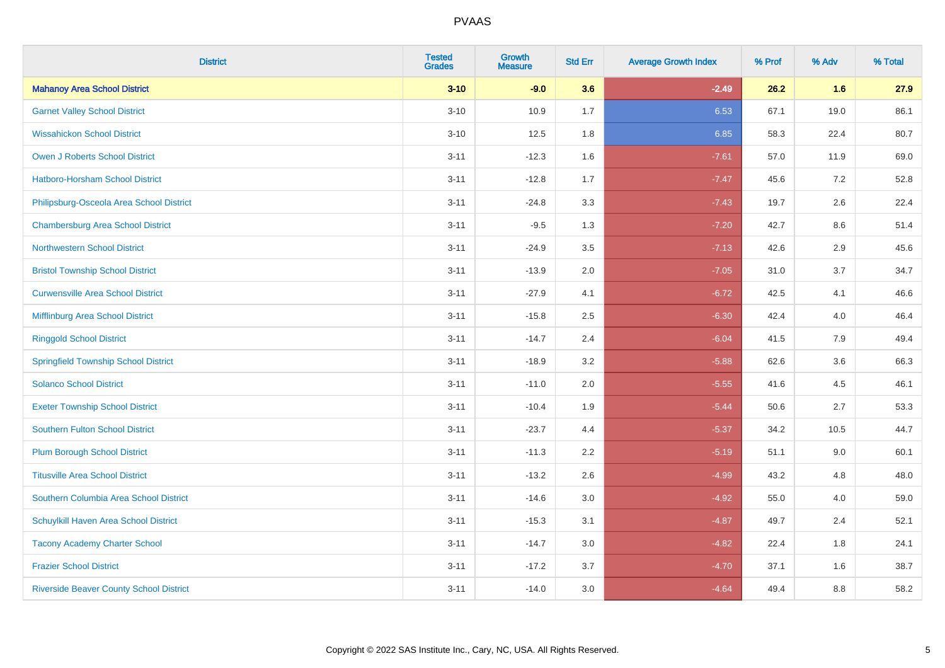| <b>District</b>                                | <b>Tested</b><br><b>Grades</b> | <b>Growth</b><br><b>Measure</b> | <b>Std Err</b> | <b>Average Growth Index</b> | % Prof | % Adv | % Total |
|------------------------------------------------|--------------------------------|---------------------------------|----------------|-----------------------------|--------|-------|---------|
| <b>Mahanoy Area School District</b>            | $3 - 10$                       | $-9.0$                          | 3.6            | $-2.49$                     | 26.2   | 1.6   | 27.9    |
| <b>Garnet Valley School District</b>           | $3 - 10$                       | 10.9                            | 1.7            | 6.53                        | 67.1   | 19.0  | 86.1    |
| <b>Wissahickon School District</b>             | $3 - 10$                       | 12.5                            | 1.8            | 6.85                        | 58.3   | 22.4  | 80.7    |
| <b>Owen J Roberts School District</b>          | $3 - 11$                       | $-12.3$                         | 1.6            | $-7.61$                     | 57.0   | 11.9  | 69.0    |
| Hatboro-Horsham School District                | $3 - 11$                       | $-12.8$                         | 1.7            | $-7.47$                     | 45.6   | 7.2   | 52.8    |
| Philipsburg-Osceola Area School District       | $3 - 11$                       | $-24.8$                         | 3.3            | $-7.43$                     | 19.7   | 2.6   | 22.4    |
| <b>Chambersburg Area School District</b>       | $3 - 11$                       | $-9.5$                          | 1.3            | $-7.20$                     | 42.7   | 8.6   | 51.4    |
| <b>Northwestern School District</b>            | $3 - 11$                       | $-24.9$                         | 3.5            | $-7.13$                     | 42.6   | 2.9   | 45.6    |
| <b>Bristol Township School District</b>        | $3 - 11$                       | $-13.9$                         | 2.0            | $-7.05$                     | 31.0   | 3.7   | 34.7    |
| <b>Curwensville Area School District</b>       | $3 - 11$                       | $-27.9$                         | 4.1            | $-6.72$                     | 42.5   | 4.1   | 46.6    |
| Mifflinburg Area School District               | $3 - 11$                       | $-15.8$                         | 2.5            | $-6.30$                     | 42.4   | 4.0   | 46.4    |
| <b>Ringgold School District</b>                | $3 - 11$                       | $-14.7$                         | 2.4            | $-6.04$                     | 41.5   | 7.9   | 49.4    |
| <b>Springfield Township School District</b>    | $3 - 11$                       | $-18.9$                         | 3.2            | $-5.88$                     | 62.6   | 3.6   | 66.3    |
| <b>Solanco School District</b>                 | $3 - 11$                       | $-11.0$                         | 2.0            | $-5.55$                     | 41.6   | 4.5   | 46.1    |
| <b>Exeter Township School District</b>         | $3 - 11$                       | $-10.4$                         | 1.9            | $-5.44$                     | 50.6   | 2.7   | 53.3    |
| <b>Southern Fulton School District</b>         | $3 - 11$                       | $-23.7$                         | 4.4            | $-5.37$                     | 34.2   | 10.5  | 44.7    |
| <b>Plum Borough School District</b>            | $3 - 11$                       | $-11.3$                         | 2.2            | $-5.19$                     | 51.1   | 9.0   | 60.1    |
| <b>Titusville Area School District</b>         | $3 - 11$                       | $-13.2$                         | 2.6            | $-4.99$                     | 43.2   | 4.8   | 48.0    |
| Southern Columbia Area School District         | $3 - 11$                       | $-14.6$                         | 3.0            | $-4.92$                     | 55.0   | 4.0   | 59.0    |
| Schuylkill Haven Area School District          | $3 - 11$                       | $-15.3$                         | 3.1            | $-4.87$                     | 49.7   | 2.4   | 52.1    |
| <b>Tacony Academy Charter School</b>           | $3 - 11$                       | $-14.7$                         | 3.0            | $-4.82$                     | 22.4   | 1.8   | 24.1    |
| <b>Frazier School District</b>                 | $3 - 11$                       | $-17.2$                         | 3.7            | $-4.70$                     | 37.1   | 1.6   | 38.7    |
| <b>Riverside Beaver County School District</b> | $3 - 11$                       | $-14.0$                         | 3.0            | $-4.64$                     | 49.4   | 8.8   | 58.2    |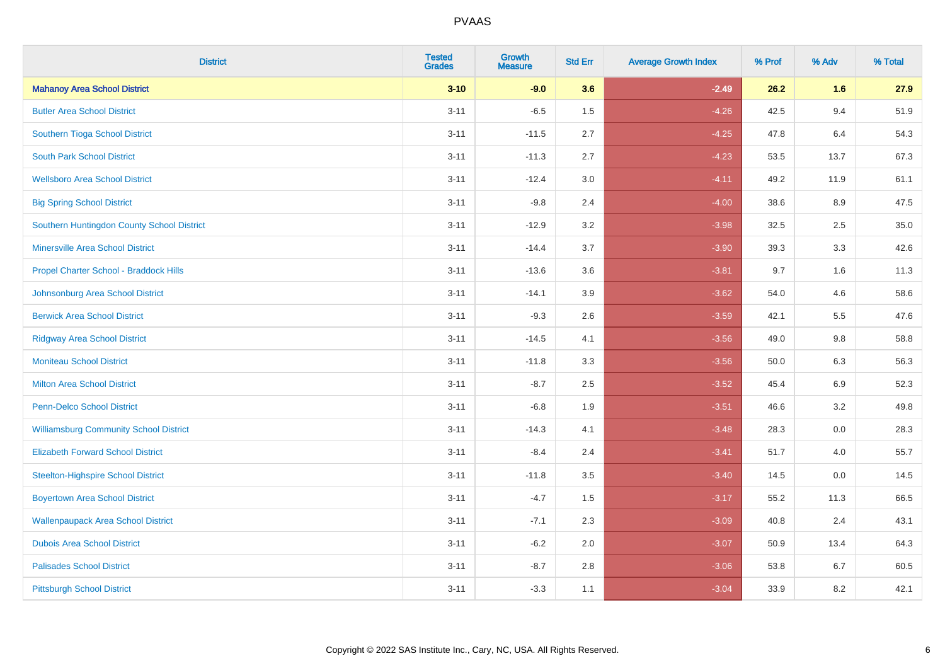| <b>District</b>                               | <b>Tested</b><br><b>Grades</b> | Growth<br><b>Measure</b> | <b>Std Err</b> | <b>Average Growth Index</b> | % Prof | % Adv   | % Total |
|-----------------------------------------------|--------------------------------|--------------------------|----------------|-----------------------------|--------|---------|---------|
| <b>Mahanoy Area School District</b>           | $3 - 10$                       | $-9.0$                   | 3.6            | $-2.49$                     | 26.2   | 1.6     | 27.9    |
| <b>Butler Area School District</b>            | $3 - 11$                       | $-6.5$                   | 1.5            | $-4.26$                     | 42.5   | 9.4     | 51.9    |
| Southern Tioga School District                | $3 - 11$                       | $-11.5$                  | 2.7            | $-4.25$                     | 47.8   | 6.4     | 54.3    |
| <b>South Park School District</b>             | $3 - 11$                       | $-11.3$                  | 2.7            | $-4.23$                     | 53.5   | 13.7    | 67.3    |
| <b>Wellsboro Area School District</b>         | $3 - 11$                       | $-12.4$                  | 3.0            | $-4.11$                     | 49.2   | 11.9    | 61.1    |
| <b>Big Spring School District</b>             | $3 - 11$                       | $-9.8$                   | 2.4            | $-4.00$                     | 38.6   | 8.9     | 47.5    |
| Southern Huntingdon County School District    | $3 - 11$                       | $-12.9$                  | 3.2            | $-3.98$                     | 32.5   | 2.5     | 35.0    |
| <b>Minersville Area School District</b>       | $3 - 11$                       | $-14.4$                  | 3.7            | $-3.90$                     | 39.3   | 3.3     | 42.6    |
| Propel Charter School - Braddock Hills        | $3 - 11$                       | $-13.6$                  | 3.6            | $-3.81$                     | 9.7    | 1.6     | 11.3    |
| Johnsonburg Area School District              | $3 - 11$                       | $-14.1$                  | 3.9            | $-3.62$                     | 54.0   | 4.6     | 58.6    |
| <b>Berwick Area School District</b>           | $3 - 11$                       | $-9.3$                   | 2.6            | $-3.59$                     | 42.1   | 5.5     | 47.6    |
| <b>Ridgway Area School District</b>           | $3 - 11$                       | $-14.5$                  | 4.1            | $-3.56$                     | 49.0   | $9.8\,$ | 58.8    |
| <b>Moniteau School District</b>               | $3 - 11$                       | $-11.8$                  | 3.3            | $-3.56$                     | 50.0   | 6.3     | 56.3    |
| <b>Milton Area School District</b>            | $3 - 11$                       | $-8.7$                   | 2.5            | $-3.52$                     | 45.4   | 6.9     | 52.3    |
| <b>Penn-Delco School District</b>             | $3 - 11$                       | $-6.8$                   | 1.9            | $-3.51$                     | 46.6   | 3.2     | 49.8    |
| <b>Williamsburg Community School District</b> | $3 - 11$                       | $-14.3$                  | 4.1            | $-3.48$                     | 28.3   | 0.0     | 28.3    |
| <b>Elizabeth Forward School District</b>      | $3 - 11$                       | $-8.4$                   | 2.4            | $-3.41$                     | 51.7   | 4.0     | 55.7    |
| <b>Steelton-Highspire School District</b>     | $3 - 11$                       | $-11.8$                  | 3.5            | $-3.40$                     | 14.5   | 0.0     | 14.5    |
| <b>Boyertown Area School District</b>         | $3 - 11$                       | $-4.7$                   | 1.5            | $-3.17$                     | 55.2   | 11.3    | 66.5    |
| <b>Wallenpaupack Area School District</b>     | $3 - 11$                       | $-7.1$                   | 2.3            | $-3.09$                     | 40.8   | 2.4     | 43.1    |
| <b>Dubois Area School District</b>            | $3 - 11$                       | $-6.2$                   | 2.0            | $-3.07$                     | 50.9   | 13.4    | 64.3    |
| <b>Palisades School District</b>              | $3 - 11$                       | $-8.7$                   | 2.8            | $-3.06$                     | 53.8   | 6.7     | 60.5    |
| <b>Pittsburgh School District</b>             | $3 - 11$                       | $-3.3$                   | 1.1            | $-3.04$                     | 33.9   | 8.2     | 42.1    |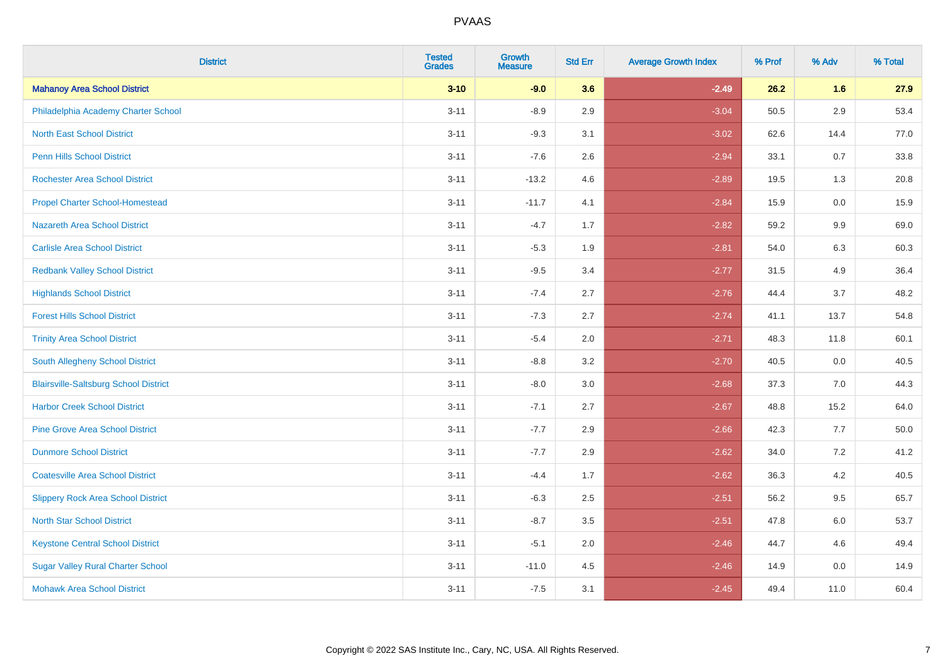| <b>District</b>                              | <b>Tested</b><br><b>Grades</b> | Growth<br><b>Measure</b> | <b>Std Err</b> | <b>Average Growth Index</b> | % Prof | % Adv   | % Total |
|----------------------------------------------|--------------------------------|--------------------------|----------------|-----------------------------|--------|---------|---------|
| <b>Mahanoy Area School District</b>          | $3 - 10$                       | $-9.0$                   | 3.6            | $-2.49$                     | 26.2   | 1.6     | 27.9    |
| Philadelphia Academy Charter School          | $3 - 11$                       | $-8.9$                   | 2.9            | $-3.04$                     | 50.5   | 2.9     | 53.4    |
| <b>North East School District</b>            | $3 - 11$                       | $-9.3$                   | 3.1            | $-3.02$                     | 62.6   | 14.4    | 77.0    |
| Penn Hills School District                   | $3 - 11$                       | $-7.6$                   | 2.6            | $-2.94$                     | 33.1   | 0.7     | 33.8    |
| <b>Rochester Area School District</b>        | $3 - 11$                       | $-13.2$                  | 4.6            | $-2.89$                     | 19.5   | 1.3     | 20.8    |
| <b>Propel Charter School-Homestead</b>       | $3 - 11$                       | $-11.7$                  | 4.1            | $-2.84$                     | 15.9   | 0.0     | 15.9    |
| Nazareth Area School District                | $3 - 11$                       | $-4.7$                   | 1.7            | $-2.82$                     | 59.2   | $9.9\,$ | 69.0    |
| <b>Carlisle Area School District</b>         | $3 - 11$                       | $-5.3$                   | 1.9            | $-2.81$                     | 54.0   | 6.3     | 60.3    |
| <b>Redbank Valley School District</b>        | $3 - 11$                       | $-9.5$                   | 3.4            | $-2.77$                     | 31.5   | 4.9     | 36.4    |
| <b>Highlands School District</b>             | $3 - 11$                       | $-7.4$                   | 2.7            | $-2.76$                     | 44.4   | 3.7     | 48.2    |
| <b>Forest Hills School District</b>          | $3 - 11$                       | $-7.3$                   | 2.7            | $-2.74$                     | 41.1   | 13.7    | 54.8    |
| <b>Trinity Area School District</b>          | $3 - 11$                       | $-5.4$                   | 2.0            | $-2.71$                     | 48.3   | 11.8    | 60.1    |
| South Allegheny School District              | $3 - 11$                       | $-8.8$                   | 3.2            | $-2.70$                     | 40.5   | 0.0     | 40.5    |
| <b>Blairsville-Saltsburg School District</b> | $3 - 11$                       | $-8.0$                   | 3.0            | $-2.68$                     | 37.3   | 7.0     | 44.3    |
| <b>Harbor Creek School District</b>          | $3 - 11$                       | $-7.1$                   | 2.7            | $-2.67$                     | 48.8   | 15.2    | 64.0    |
| <b>Pine Grove Area School District</b>       | $3 - 11$                       | $-7.7$                   | 2.9            | $-2.66$                     | 42.3   | 7.7     | 50.0    |
| <b>Dunmore School District</b>               | $3 - 11$                       | $-7.7$                   | 2.9            | $-2.62$                     | 34.0   | 7.2     | 41.2    |
| <b>Coatesville Area School District</b>      | $3 - 11$                       | $-4.4$                   | 1.7            | $-2.62$                     | 36.3   | 4.2     | 40.5    |
| <b>Slippery Rock Area School District</b>    | $3 - 11$                       | $-6.3$                   | 2.5            | $-2.51$                     | 56.2   | 9.5     | 65.7    |
| <b>North Star School District</b>            | $3 - 11$                       | $-8.7$                   | 3.5            | $-2.51$                     | 47.8   | 6.0     | 53.7    |
| <b>Keystone Central School District</b>      | $3 - 11$                       | $-5.1$                   | 2.0            | $-2.46$                     | 44.7   | 4.6     | 49.4    |
| <b>Sugar Valley Rural Charter School</b>     | $3 - 11$                       | $-11.0$                  | 4.5            | $-2.46$                     | 14.9   | 0.0     | 14.9    |
| <b>Mohawk Area School District</b>           | $3 - 11$                       | $-7.5$                   | 3.1            | $-2.45$                     | 49.4   | 11.0    | 60.4    |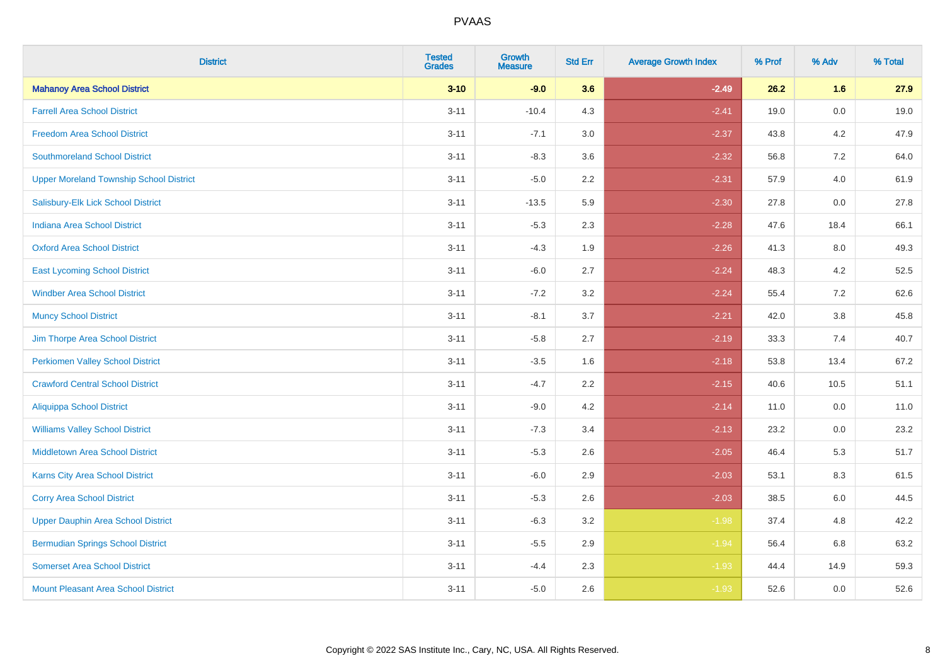| <b>District</b>                                | <b>Tested</b><br><b>Grades</b> | Growth<br><b>Measure</b> | <b>Std Err</b> | <b>Average Growth Index</b> | % Prof | % Adv   | % Total |
|------------------------------------------------|--------------------------------|--------------------------|----------------|-----------------------------|--------|---------|---------|
| <b>Mahanoy Area School District</b>            | $3 - 10$                       | $-9.0$                   | 3.6            | $-2.49$                     | 26.2   | 1.6     | 27.9    |
| <b>Farrell Area School District</b>            | $3 - 11$                       | $-10.4$                  | 4.3            | $-2.41$                     | 19.0   | $0.0\,$ | 19.0    |
| <b>Freedom Area School District</b>            | $3 - 11$                       | $-7.1$                   | 3.0            | $-2.37$                     | 43.8   | 4.2     | 47.9    |
| <b>Southmoreland School District</b>           | $3 - 11$                       | $-8.3$                   | 3.6            | $-2.32$                     | 56.8   | 7.2     | 64.0    |
| <b>Upper Moreland Township School District</b> | $3 - 11$                       | $-5.0$                   | 2.2            | $-2.31$                     | 57.9   | 4.0     | 61.9    |
| Salisbury-Elk Lick School District             | $3 - 11$                       | $-13.5$                  | 5.9            | $-2.30$                     | 27.8   | 0.0     | 27.8    |
| <b>Indiana Area School District</b>            | $3 - 11$                       | $-5.3$                   | 2.3            | $-2.28$                     | 47.6   | 18.4    | 66.1    |
| <b>Oxford Area School District</b>             | $3 - 11$                       | $-4.3$                   | 1.9            | $-2.26$                     | 41.3   | 8.0     | 49.3    |
| <b>East Lycoming School District</b>           | $3 - 11$                       | $-6.0$                   | 2.7            | $-2.24$                     | 48.3   | 4.2     | 52.5    |
| <b>Windber Area School District</b>            | $3 - 11$                       | $-7.2$                   | 3.2            | $-2.24$                     | 55.4   | 7.2     | 62.6    |
| <b>Muncy School District</b>                   | $3 - 11$                       | $-8.1$                   | 3.7            | $-2.21$                     | 42.0   | $3.8\,$ | 45.8    |
| Jim Thorpe Area School District                | $3 - 11$                       | $-5.8$                   | 2.7            | $-2.19$                     | 33.3   | 7.4     | 40.7    |
| <b>Perkiomen Valley School District</b>        | $3 - 11$                       | $-3.5$                   | 1.6            | $-2.18$                     | 53.8   | 13.4    | 67.2    |
| <b>Crawford Central School District</b>        | $3 - 11$                       | $-4.7$                   | 2.2            | $-2.15$                     | 40.6   | 10.5    | 51.1    |
| <b>Aliquippa School District</b>               | $3 - 11$                       | $-9.0$                   | 4.2            | $-2.14$                     | 11.0   | 0.0     | 11.0    |
| <b>Williams Valley School District</b>         | $3 - 11$                       | $-7.3$                   | 3.4            | $-2.13$                     | 23.2   | 0.0     | 23.2    |
| Middletown Area School District                | $3 - 11$                       | $-5.3$                   | 2.6            | $-2.05$                     | 46.4   | 5.3     | 51.7    |
| <b>Karns City Area School District</b>         | $3 - 11$                       | $-6.0$                   | 2.9            | $-2.03$                     | 53.1   | 8.3     | 61.5    |
| <b>Corry Area School District</b>              | $3 - 11$                       | $-5.3$                   | 2.6            | $-2.03$                     | 38.5   | 6.0     | 44.5    |
| <b>Upper Dauphin Area School District</b>      | $3 - 11$                       | $-6.3$                   | 3.2            | $-1.98$                     | 37.4   | 4.8     | 42.2    |
| <b>Bermudian Springs School District</b>       | $3 - 11$                       | $-5.5$                   | 2.9            | $-1.94$                     | 56.4   | 6.8     | 63.2    |
| <b>Somerset Area School District</b>           | $3 - 11$                       | $-4.4$                   | 2.3            | $-1.93$                     | 44.4   | 14.9    | 59.3    |
| Mount Pleasant Area School District            | $3 - 11$                       | $-5.0$                   | 2.6            | $-1.93$                     | 52.6   | 0.0     | 52.6    |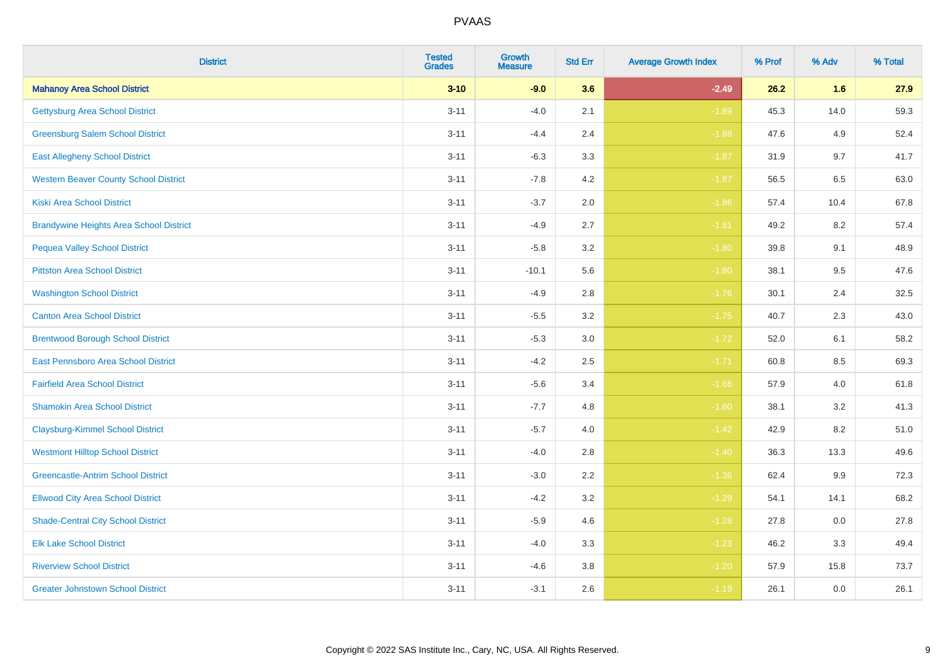| <b>District</b>                                | <b>Tested</b><br><b>Grades</b> | <b>Growth</b><br><b>Measure</b> | <b>Std Err</b> | <b>Average Growth Index</b> | % Prof | % Adv   | % Total |
|------------------------------------------------|--------------------------------|---------------------------------|----------------|-----------------------------|--------|---------|---------|
| <b>Mahanoy Area School District</b>            | $3 - 10$                       | $-9.0$                          | 3.6            | $-2.49$                     | 26.2   | 1.6     | 27.9    |
| <b>Gettysburg Area School District</b>         | $3 - 11$                       | $-4.0$                          | 2.1            | $-1.89$                     | 45.3   | 14.0    | 59.3    |
| <b>Greensburg Salem School District</b>        | $3 - 11$                       | $-4.4$                          | 2.4            | $-1.88$                     | 47.6   | 4.9     | 52.4    |
| <b>East Allegheny School District</b>          | $3 - 11$                       | $-6.3$                          | 3.3            | $-1.87$                     | 31.9   | 9.7     | 41.7    |
| <b>Western Beaver County School District</b>   | $3 - 11$                       | $-7.8$                          | 4.2            | $-1.87$                     | 56.5   | 6.5     | 63.0    |
| <b>Kiski Area School District</b>              | $3 - 11$                       | $-3.7$                          | 2.0            | $-1.86$                     | 57.4   | 10.4    | 67.8    |
| <b>Brandywine Heights Area School District</b> | $3 - 11$                       | $-4.9$                          | 2.7            | $-1.81$                     | 49.2   | 8.2     | 57.4    |
| <b>Pequea Valley School District</b>           | $3 - 11$                       | $-5.8$                          | 3.2            | $-1.80$                     | 39.8   | 9.1     | 48.9    |
| <b>Pittston Area School District</b>           | $3 - 11$                       | $-10.1$                         | 5.6            | $-1.80$                     | 38.1   | 9.5     | 47.6    |
| <b>Washington School District</b>              | $3 - 11$                       | $-4.9$                          | 2.8            | $-1.76$                     | 30.1   | 2.4     | 32.5    |
| <b>Canton Area School District</b>             | $3 - 11$                       | $-5.5$                          | 3.2            | $-1.75$                     | 40.7   | 2.3     | 43.0    |
| <b>Brentwood Borough School District</b>       | $3 - 11$                       | $-5.3$                          | 3.0            | $-1.72$                     | 52.0   | 6.1     | 58.2    |
| East Pennsboro Area School District            | $3 - 11$                       | $-4.2$                          | 2.5            | $-1.71$                     | 60.8   | $8.5\,$ | 69.3    |
| <b>Fairfield Area School District</b>          | $3 - 11$                       | $-5.6$                          | 3.4            | $-1.66$                     | 57.9   | 4.0     | 61.8    |
| <b>Shamokin Area School District</b>           | $3 - 11$                       | $-7.7$                          | 4.8            | $-1.60$                     | 38.1   | 3.2     | 41.3    |
| <b>Claysburg-Kimmel School District</b>        | $3 - 11$                       | $-5.7$                          | 4.0            | $-1.42$                     | 42.9   | 8.2     | 51.0    |
| <b>Westmont Hilltop School District</b>        | $3 - 11$                       | $-4.0$                          | 2.8            | $-1.40$                     | 36.3   | 13.3    | 49.6    |
| <b>Greencastle-Antrim School District</b>      | $3 - 11$                       | $-3.0$                          | 2.2            | $-1.36$                     | 62.4   | 9.9     | 72.3    |
| <b>Ellwood City Area School District</b>       | $3 - 11$                       | $-4.2$                          | 3.2            | $-1.29$                     | 54.1   | 14.1    | 68.2    |
| <b>Shade-Central City School District</b>      | $3 - 11$                       | $-5.9$                          | 4.6            | $-1.28$                     | 27.8   | 0.0     | 27.8    |
| <b>Elk Lake School District</b>                | $3 - 11$                       | $-4.0$                          | 3.3            | $-1.23$                     | 46.2   | 3.3     | 49.4    |
| <b>Riverview School District</b>               | $3 - 11$                       | $-4.6$                          | 3.8            | $-1.20$                     | 57.9   | 15.8    | 73.7    |
| <b>Greater Johnstown School District</b>       | $3 - 11$                       | $-3.1$                          | 2.6            | $-1.19$                     | 26.1   | 0.0     | 26.1    |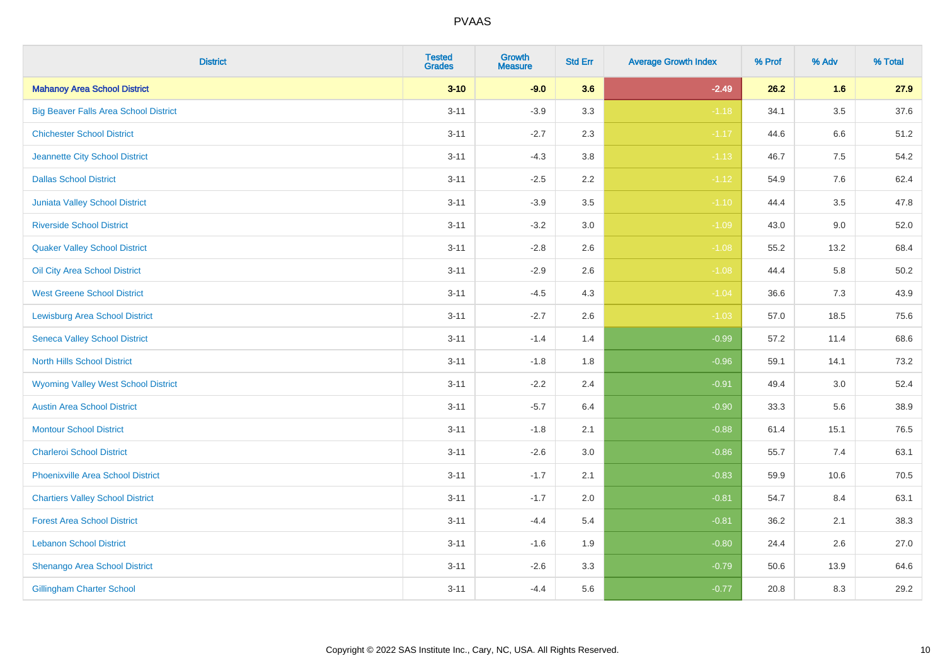| <b>District</b>                              | <b>Tested</b><br><b>Grades</b> | Growth<br><b>Measure</b> | <b>Std Err</b> | <b>Average Growth Index</b> | % Prof | % Adv   | % Total  |
|----------------------------------------------|--------------------------------|--------------------------|----------------|-----------------------------|--------|---------|----------|
| <b>Mahanoy Area School District</b>          | $3 - 10$                       | $-9.0$                   | 3.6            | $-2.49$                     | 26.2   | 1.6     | 27.9     |
| <b>Big Beaver Falls Area School District</b> | $3 - 11$                       | $-3.9$                   | 3.3            | $-1.18$                     | 34.1   | $3.5\,$ | 37.6     |
| <b>Chichester School District</b>            | $3 - 11$                       | $-2.7$                   | 2.3            | $-1.17$                     | 44.6   | 6.6     | 51.2     |
| Jeannette City School District               | $3 - 11$                       | $-4.3$                   | 3.8            | $-1.13$                     | 46.7   | $7.5\,$ | 54.2     |
| <b>Dallas School District</b>                | $3 - 11$                       | $-2.5$                   | 2.2            | $-1.12$                     | 54.9   | 7.6     | 62.4     |
| <b>Juniata Valley School District</b>        | $3 - 11$                       | $-3.9$                   | 3.5            | $-1.10$                     | 44.4   | 3.5     | 47.8     |
| <b>Riverside School District</b>             | $3 - 11$                       | $-3.2$                   | 3.0            | $-1.09$                     | 43.0   | 9.0     | 52.0     |
| <b>Quaker Valley School District</b>         | $3 - 11$                       | $-2.8$                   | 2.6            | $-1.08$                     | 55.2   | 13.2    | 68.4     |
| Oil City Area School District                | $3 - 11$                       | $-2.9$                   | 2.6            | $-1.08$                     | 44.4   | 5.8     | $50.2\,$ |
| <b>West Greene School District</b>           | $3 - 11$                       | $-4.5$                   | 4.3            | $-1.04$                     | 36.6   | 7.3     | 43.9     |
| <b>Lewisburg Area School District</b>        | $3 - 11$                       | $-2.7$                   | 2.6            | $-1.03$                     | 57.0   | 18.5    | 75.6     |
| <b>Seneca Valley School District</b>         | $3 - 11$                       | $-1.4$                   | 1.4            | $-0.99$                     | 57.2   | 11.4    | 68.6     |
| <b>North Hills School District</b>           | $3 - 11$                       | $-1.8$                   | 1.8            | $-0.96$                     | 59.1   | 14.1    | 73.2     |
| <b>Wyoming Valley West School District</b>   | $3 - 11$                       | $-2.2$                   | 2.4            | $-0.91$                     | 49.4   | 3.0     | 52.4     |
| <b>Austin Area School District</b>           | $3 - 11$                       | $-5.7$                   | 6.4            | $-0.90$                     | 33.3   | 5.6     | 38.9     |
| <b>Montour School District</b>               | $3 - 11$                       | $-1.8$                   | 2.1            | $-0.88$                     | 61.4   | 15.1    | 76.5     |
| <b>Charleroi School District</b>             | $3 - 11$                       | $-2.6$                   | 3.0            | $-0.86$                     | 55.7   | 7.4     | 63.1     |
| <b>Phoenixville Area School District</b>     | $3 - 11$                       | $-1.7$                   | 2.1            | $-0.83$                     | 59.9   | 10.6    | 70.5     |
| <b>Chartiers Valley School District</b>      | $3 - 11$                       | $-1.7$                   | 2.0            | $-0.81$                     | 54.7   | 8.4     | 63.1     |
| <b>Forest Area School District</b>           | $3 - 11$                       | $-4.4$                   | 5.4            | $-0.81$                     | 36.2   | 2.1     | 38.3     |
| <b>Lebanon School District</b>               | $3 - 11$                       | $-1.6$                   | 1.9            | $-0.80$                     | 24.4   | 2.6     | 27.0     |
| Shenango Area School District                | $3 - 11$                       | $-2.6$                   | 3.3            | $-0.79$                     | 50.6   | 13.9    | 64.6     |
| <b>Gillingham Charter School</b>             | $3 - 11$                       | $-4.4$                   | 5.6            | $-0.77$                     | 20.8   | 8.3     | 29.2     |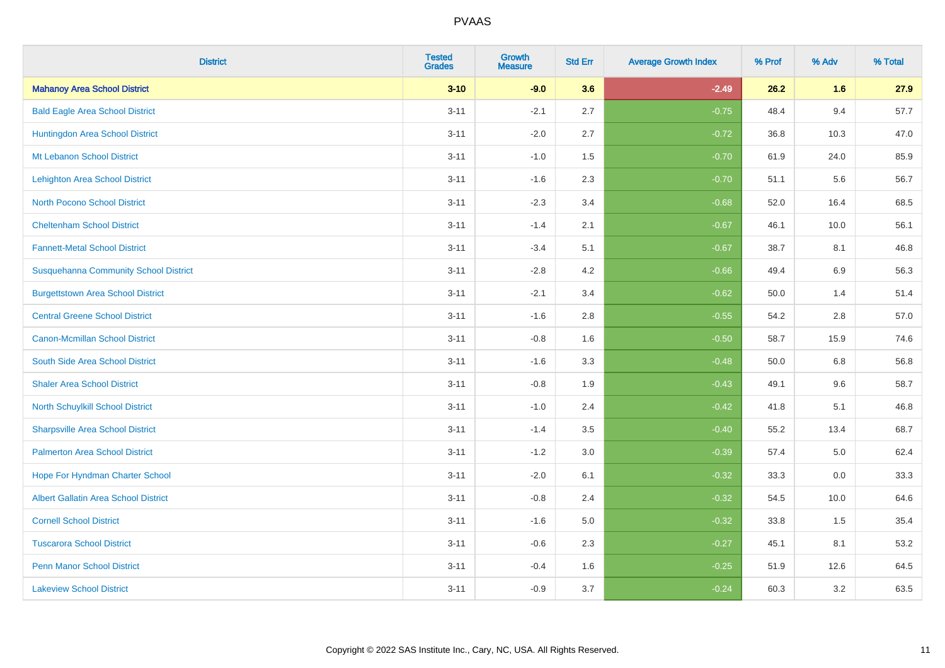| <b>District</b>                              | <b>Tested</b><br><b>Grades</b> | <b>Growth</b><br><b>Measure</b> | <b>Std Err</b> | <b>Average Growth Index</b> | % Prof | % Adv   | % Total |
|----------------------------------------------|--------------------------------|---------------------------------|----------------|-----------------------------|--------|---------|---------|
| <b>Mahanoy Area School District</b>          | $3 - 10$                       | $-9.0$                          | 3.6            | $-2.49$                     | 26.2   | 1.6     | 27.9    |
| <b>Bald Eagle Area School District</b>       | $3 - 11$                       | $-2.1$                          | 2.7            | $-0.75$                     | 48.4   | 9.4     | 57.7    |
| Huntingdon Area School District              | $3 - 11$                       | $-2.0$                          | 2.7            | $-0.72$                     | 36.8   | 10.3    | 47.0    |
| Mt Lebanon School District                   | $3 - 11$                       | $-1.0$                          | 1.5            | $-0.70$                     | 61.9   | 24.0    | 85.9    |
| <b>Lehighton Area School District</b>        | $3 - 11$                       | $-1.6$                          | 2.3            | $-0.70$                     | 51.1   | 5.6     | 56.7    |
| <b>North Pocono School District</b>          | $3 - 11$                       | $-2.3$                          | 3.4            | $-0.68$                     | 52.0   | 16.4    | 68.5    |
| <b>Cheltenham School District</b>            | $3 - 11$                       | $-1.4$                          | 2.1            | $-0.67$                     | 46.1   | 10.0    | 56.1    |
| <b>Fannett-Metal School District</b>         | $3 - 11$                       | $-3.4$                          | 5.1            | $-0.67$                     | 38.7   | 8.1     | 46.8    |
| <b>Susquehanna Community School District</b> | $3 - 11$                       | $-2.8$                          | 4.2            | $-0.66$                     | 49.4   | 6.9     | 56.3    |
| <b>Burgettstown Area School District</b>     | $3 - 11$                       | $-2.1$                          | 3.4            | $-0.62$                     | 50.0   | 1.4     | 51.4    |
| <b>Central Greene School District</b>        | $3 - 11$                       | $-1.6$                          | 2.8            | $-0.55$                     | 54.2   | 2.8     | 57.0    |
| <b>Canon-Mcmillan School District</b>        | $3 - 11$                       | $-0.8$                          | 1.6            | $-0.50$                     | 58.7   | 15.9    | 74.6    |
| South Side Area School District              | $3 - 11$                       | $-1.6$                          | 3.3            | $-0.48$                     | 50.0   | $6.8\,$ | 56.8    |
| <b>Shaler Area School District</b>           | $3 - 11$                       | $-0.8$                          | 1.9            | $-0.43$                     | 49.1   | 9.6     | 58.7    |
| North Schuylkill School District             | $3 - 11$                       | $-1.0$                          | 2.4            | $-0.42$                     | 41.8   | 5.1     | 46.8    |
| <b>Sharpsville Area School District</b>      | $3 - 11$                       | $-1.4$                          | 3.5            | $-0.40$                     | 55.2   | 13.4    | 68.7    |
| <b>Palmerton Area School District</b>        | $3 - 11$                       | $-1.2$                          | 3.0            | $-0.39$                     | 57.4   | $5.0\,$ | 62.4    |
| Hope For Hyndman Charter School              | $3 - 11$                       | $-2.0$                          | 6.1            | $-0.32$                     | 33.3   | 0.0     | 33.3    |
| Albert Gallatin Area School District         | $3 - 11$                       | $-0.8$                          | 2.4            | $-0.32$                     | 54.5   | 10.0    | 64.6    |
| <b>Cornell School District</b>               | $3 - 11$                       | $-1.6$                          | 5.0            | $-0.32$                     | 33.8   | 1.5     | 35.4    |
| <b>Tuscarora School District</b>             | $3 - 11$                       | $-0.6$                          | 2.3            | $-0.27$                     | 45.1   | 8.1     | 53.2    |
| <b>Penn Manor School District</b>            | $3 - 11$                       | $-0.4$                          | 1.6            | $-0.25$                     | 51.9   | 12.6    | 64.5    |
| <b>Lakeview School District</b>              | $3 - 11$                       | $-0.9$                          | 3.7            | $-0.24$                     | 60.3   | 3.2     | 63.5    |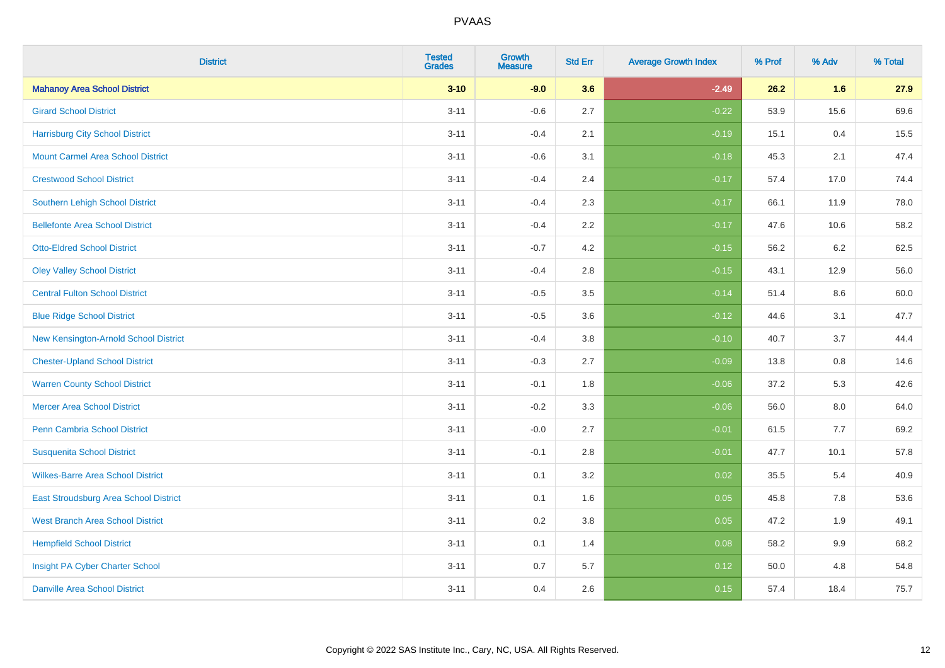| <b>District</b>                          | <b>Tested</b><br><b>Grades</b> | <b>Growth</b><br><b>Measure</b> | <b>Std Err</b> | <b>Average Growth Index</b> | % Prof | % Adv   | % Total |
|------------------------------------------|--------------------------------|---------------------------------|----------------|-----------------------------|--------|---------|---------|
| <b>Mahanoy Area School District</b>      | $3 - 10$                       | $-9.0$                          | 3.6            | $-2.49$                     | 26.2   | 1.6     | 27.9    |
| <b>Girard School District</b>            | $3 - 11$                       | $-0.6$                          | 2.7            | $-0.22$                     | 53.9   | 15.6    | 69.6    |
| <b>Harrisburg City School District</b>   | $3 - 11$                       | $-0.4$                          | 2.1            | $-0.19$                     | 15.1   | 0.4     | 15.5    |
| <b>Mount Carmel Area School District</b> | $3 - 11$                       | $-0.6$                          | 3.1            | $-0.18$                     | 45.3   | 2.1     | 47.4    |
| <b>Crestwood School District</b>         | $3 - 11$                       | $-0.4$                          | 2.4            | $-0.17$                     | 57.4   | 17.0    | 74.4    |
| <b>Southern Lehigh School District</b>   | $3 - 11$                       | $-0.4$                          | 2.3            | $-0.17$                     | 66.1   | 11.9    | 78.0    |
| <b>Bellefonte Area School District</b>   | $3 - 11$                       | $-0.4$                          | 2.2            | $-0.17$                     | 47.6   | 10.6    | 58.2    |
| <b>Otto-Eldred School District</b>       | $3 - 11$                       | $-0.7$                          | 4.2            | $-0.15$                     | 56.2   | 6.2     | 62.5    |
| <b>Oley Valley School District</b>       | $3 - 11$                       | $-0.4$                          | 2.8            | $-0.15$                     | 43.1   | 12.9    | 56.0    |
| <b>Central Fulton School District</b>    | $3 - 11$                       | $-0.5$                          | 3.5            | $-0.14$                     | 51.4   | 8.6     | 60.0    |
| <b>Blue Ridge School District</b>        | $3 - 11$                       | $-0.5$                          | 3.6            | $-0.12$                     | 44.6   | 3.1     | 47.7    |
| New Kensington-Arnold School District    | $3 - 11$                       | $-0.4$                          | 3.8            | $-0.10$                     | 40.7   | 3.7     | 44.4    |
| <b>Chester-Upland School District</b>    | $3 - 11$                       | $-0.3$                          | 2.7            | $-0.09$                     | 13.8   | $0.8\,$ | 14.6    |
| <b>Warren County School District</b>     | $3 - 11$                       | $-0.1$                          | 1.8            | $-0.06$                     | 37.2   | 5.3     | 42.6    |
| <b>Mercer Area School District</b>       | $3 - 11$                       | $-0.2$                          | 3.3            | $-0.06$                     | 56.0   | $8.0\,$ | 64.0    |
| Penn Cambria School District             | $3 - 11$                       | $-0.0$                          | 2.7            | $-0.01$                     | 61.5   | 7.7     | 69.2    |
| <b>Susquenita School District</b>        | $3 - 11$                       | $-0.1$                          | 2.8            | $-0.01$                     | 47.7   | 10.1    | 57.8    |
| <b>Wilkes-Barre Area School District</b> | $3 - 11$                       | 0.1                             | 3.2            | 0.02                        | 35.5   | 5.4     | 40.9    |
| East Stroudsburg Area School District    | $3 - 11$                       | 0.1                             | 1.6            | 0.05                        | 45.8   | 7.8     | 53.6    |
| <b>West Branch Area School District</b>  | $3 - 11$                       | 0.2                             | 3.8            | 0.05                        | 47.2   | 1.9     | 49.1    |
| <b>Hempfield School District</b>         | $3 - 11$                       | 0.1                             | 1.4            | 0.08                        | 58.2   | 9.9     | 68.2    |
| Insight PA Cyber Charter School          | $3 - 11$                       | 0.7                             | 5.7            | 0.12                        | 50.0   | 4.8     | 54.8    |
| <b>Danville Area School District</b>     | $3 - 11$                       | 0.4                             | 2.6            | 0.15                        | 57.4   | 18.4    | 75.7    |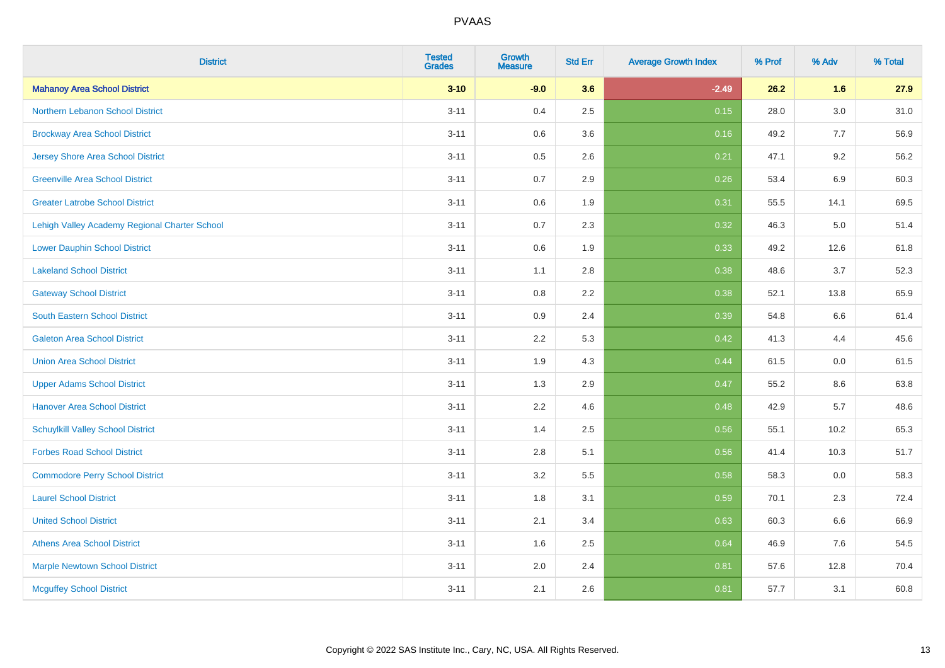| <b>District</b>                               | <b>Tested</b><br><b>Grades</b> | <b>Growth</b><br><b>Measure</b> | <b>Std Err</b> | <b>Average Growth Index</b> | % Prof | % Adv   | % Total |
|-----------------------------------------------|--------------------------------|---------------------------------|----------------|-----------------------------|--------|---------|---------|
| <b>Mahanoy Area School District</b>           | $3 - 10$                       | $-9.0$                          | 3.6            | $-2.49$                     | 26.2   | 1.6     | 27.9    |
| Northern Lebanon School District              | $3 - 11$                       | 0.4                             | 2.5            | 0.15                        | 28.0   | $3.0\,$ | 31.0    |
| <b>Brockway Area School District</b>          | $3 - 11$                       | 0.6                             | 3.6            | 0.16                        | 49.2   | 7.7     | 56.9    |
| <b>Jersey Shore Area School District</b>      | $3 - 11$                       | 0.5                             | 2.6            | 0.21                        | 47.1   | 9.2     | 56.2    |
| <b>Greenville Area School District</b>        | $3 - 11$                       | 0.7                             | 2.9            | 0.26                        | 53.4   | $6.9\,$ | 60.3    |
| <b>Greater Latrobe School District</b>        | $3 - 11$                       | 0.6                             | 1.9            | 0.31                        | 55.5   | 14.1    | 69.5    |
| Lehigh Valley Academy Regional Charter School | $3 - 11$                       | 0.7                             | 2.3            | 0.32                        | 46.3   | 5.0     | 51.4    |
| <b>Lower Dauphin School District</b>          | $3 - 11$                       | 0.6                             | 1.9            | 0.33                        | 49.2   | 12.6    | 61.8    |
| <b>Lakeland School District</b>               | $3 - 11$                       | 1.1                             | 2.8            | 0.38                        | 48.6   | 3.7     | 52.3    |
| <b>Gateway School District</b>                | $3 - 11$                       | 0.8                             | $2.2\,$        | 0.38                        | 52.1   | 13.8    | 65.9    |
| South Eastern School District                 | $3 - 11$                       | 0.9                             | 2.4            | 0.39                        | 54.8   | 6.6     | 61.4    |
| <b>Galeton Area School District</b>           | $3 - 11$                       | 2.2                             | 5.3            | 0.42                        | 41.3   | 4.4     | 45.6    |
| <b>Union Area School District</b>             | $3 - 11$                       | 1.9                             | 4.3            | 0.44                        | 61.5   | $0.0\,$ | 61.5    |
| <b>Upper Adams School District</b>            | $3 - 11$                       | 1.3                             | 2.9            | 0.47                        | 55.2   | 8.6     | 63.8    |
| <b>Hanover Area School District</b>           | $3 - 11$                       | 2.2                             | 4.6            | 0.48                        | 42.9   | 5.7     | 48.6    |
| <b>Schuylkill Valley School District</b>      | $3 - 11$                       | 1.4                             | 2.5            | 0.56                        | 55.1   | 10.2    | 65.3    |
| <b>Forbes Road School District</b>            | $3 - 11$                       | 2.8                             | 5.1            | 0.56                        | 41.4   | 10.3    | 51.7    |
| <b>Commodore Perry School District</b>        | $3 - 11$                       | 3.2                             | 5.5            | 0.58                        | 58.3   | 0.0     | 58.3    |
| <b>Laurel School District</b>                 | $3 - 11$                       | 1.8                             | 3.1            | 0.59                        | 70.1   | 2.3     | 72.4    |
| <b>United School District</b>                 | $3 - 11$                       | 2.1                             | 3.4            | 0.63                        | 60.3   | 6.6     | 66.9    |
| <b>Athens Area School District</b>            | $3 - 11$                       | 1.6                             | 2.5            | 0.64                        | 46.9   | 7.6     | 54.5    |
| <b>Marple Newtown School District</b>         | $3 - 11$                       | 2.0                             | 2.4            | 0.81                        | 57.6   | 12.8    | 70.4    |
| <b>Mcguffey School District</b>               | $3 - 11$                       | 2.1                             | 2.6            | 0.81                        | 57.7   | 3.1     | 60.8    |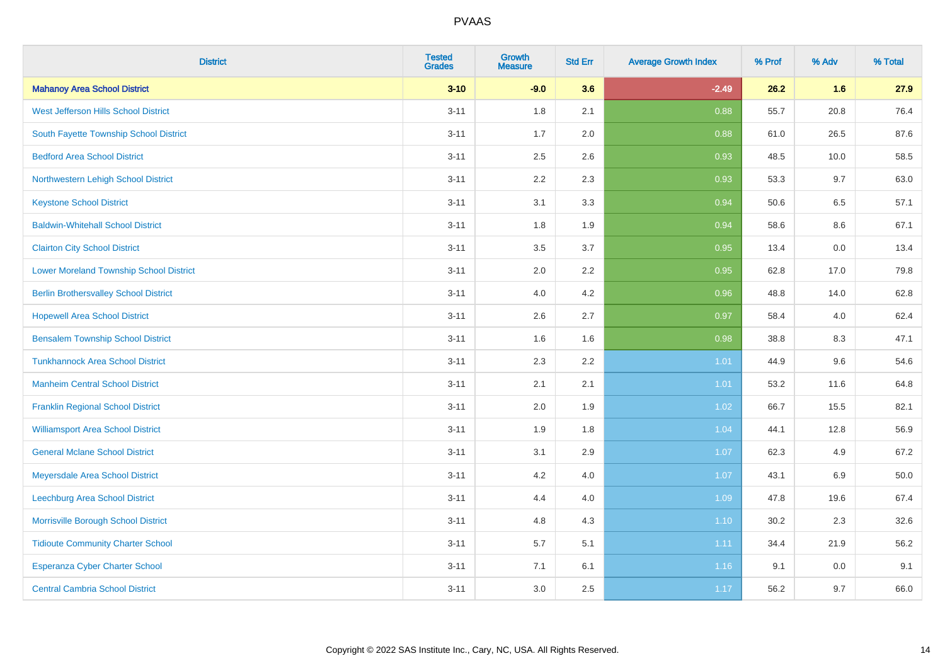| <b>District</b>                                | <b>Tested</b><br><b>Grades</b> | <b>Growth</b><br><b>Measure</b> | <b>Std Err</b> | <b>Average Growth Index</b> | % Prof | % Adv   | % Total |
|------------------------------------------------|--------------------------------|---------------------------------|----------------|-----------------------------|--------|---------|---------|
| <b>Mahanoy Area School District</b>            | $3 - 10$                       | $-9.0$                          | 3.6            | $-2.49$                     | 26.2   | 1.6     | 27.9    |
| West Jefferson Hills School District           | $3 - 11$                       | 1.8                             | 2.1            | 0.88                        | 55.7   | 20.8    | 76.4    |
| South Fayette Township School District         | $3 - 11$                       | 1.7                             | 2.0            | 0.88                        | 61.0   | 26.5    | 87.6    |
| <b>Bedford Area School District</b>            | $3 - 11$                       | 2.5                             | 2.6            | 0.93                        | 48.5   | 10.0    | 58.5    |
| Northwestern Lehigh School District            | $3 - 11$                       | 2.2                             | 2.3            | 0.93                        | 53.3   | 9.7     | 63.0    |
| <b>Keystone School District</b>                | $3 - 11$                       | 3.1                             | 3.3            | 0.94                        | 50.6   | 6.5     | 57.1    |
| <b>Baldwin-Whitehall School District</b>       | $3 - 11$                       | 1.8                             | 1.9            | 0.94                        | 58.6   | 8.6     | 67.1    |
| <b>Clairton City School District</b>           | $3 - 11$                       | 3.5                             | 3.7            | 0.95                        | 13.4   | 0.0     | 13.4    |
| <b>Lower Moreland Township School District</b> | $3 - 11$                       | 2.0                             | 2.2            | 0.95                        | 62.8   | 17.0    | 79.8    |
| <b>Berlin Brothersvalley School District</b>   | $3 - 11$                       | 4.0                             | 4.2            | 0.96                        | 48.8   | 14.0    | 62.8    |
| <b>Hopewell Area School District</b>           | $3 - 11$                       | 2.6                             | 2.7            | 0.97                        | 58.4   | 4.0     | 62.4    |
| <b>Bensalem Township School District</b>       | $3 - 11$                       | 1.6                             | 1.6            | 0.98                        | 38.8   | 8.3     | 47.1    |
| <b>Tunkhannock Area School District</b>        | $3 - 11$                       | 2.3                             | 2.2            | 1.01                        | 44.9   | $9.6\,$ | 54.6    |
| <b>Manheim Central School District</b>         | $3 - 11$                       | 2.1                             | 2.1            | 1.01                        | 53.2   | 11.6    | 64.8    |
| <b>Franklin Regional School District</b>       | $3 - 11$                       | 2.0                             | 1.9            | 1.02                        | 66.7   | 15.5    | 82.1    |
| <b>Williamsport Area School District</b>       | $3 - 11$                       | 1.9                             | 1.8            | 1.04                        | 44.1   | 12.8    | 56.9    |
| <b>General Mclane School District</b>          | $3 - 11$                       | 3.1                             | 2.9            | 1.07                        | 62.3   | 4.9     | 67.2    |
| Meyersdale Area School District                | $3 - 11$                       | 4.2                             | 4.0            | 1.07                        | 43.1   | 6.9     | 50.0    |
| Leechburg Area School District                 | $3 - 11$                       | 4.4                             | 4.0            | 1.09                        | 47.8   | 19.6    | 67.4    |
| Morrisville Borough School District            | $3 - 11$                       | 4.8                             | 4.3            | $1.10$                      | 30.2   | 2.3     | 32.6    |
| <b>Tidioute Community Charter School</b>       | $3 - 11$                       | 5.7                             | 5.1            | 1.11                        | 34.4   | 21.9    | 56.2    |
| <b>Esperanza Cyber Charter School</b>          | $3 - 11$                       | 7.1                             | 6.1            | 1.16                        | 9.1    | 0.0     | 9.1     |
| <b>Central Cambria School District</b>         | $3 - 11$                       | 3.0                             | 2.5            | 1.17                        | 56.2   | 9.7     | 66.0    |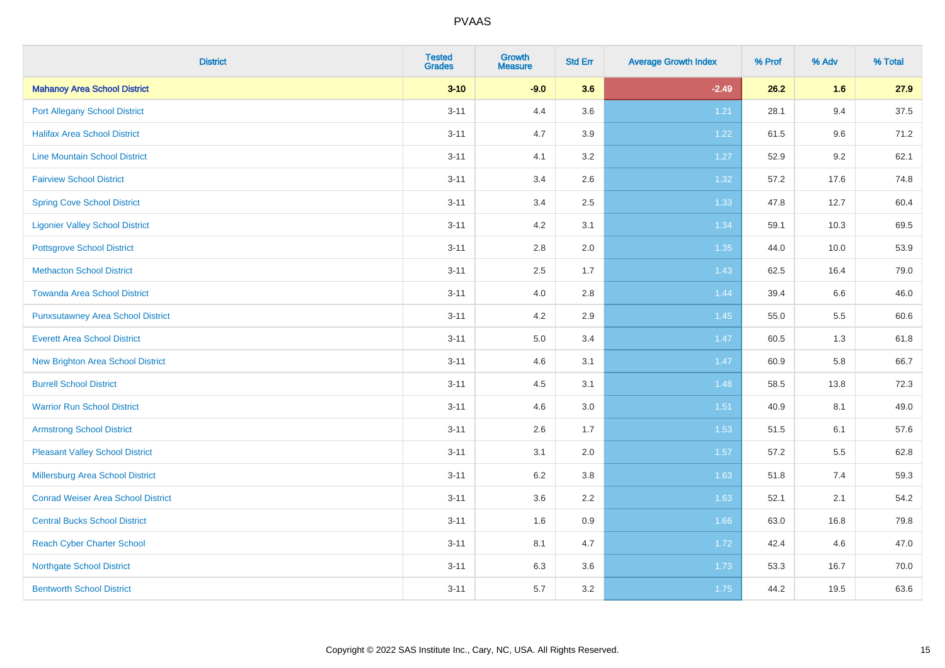| <b>District</b>                           | <b>Tested</b><br><b>Grades</b> | <b>Growth</b><br><b>Measure</b> | <b>Std Err</b> | <b>Average Growth Index</b> | % Prof | % Adv | % Total |
|-------------------------------------------|--------------------------------|---------------------------------|----------------|-----------------------------|--------|-------|---------|
| <b>Mahanoy Area School District</b>       | $3 - 10$                       | $-9.0$                          | 3.6            | $-2.49$                     | 26.2   | 1.6   | 27.9    |
| <b>Port Allegany School District</b>      | $3 - 11$                       | 4.4                             | 3.6            | 1.21                        | 28.1   | 9.4   | 37.5    |
| <b>Halifax Area School District</b>       | $3 - 11$                       | 4.7                             | 3.9            | 1.22                        | 61.5   | 9.6   | 71.2    |
| <b>Line Mountain School District</b>      | $3 - 11$                       | 4.1                             | 3.2            | 1.27                        | 52.9   | 9.2   | 62.1    |
| <b>Fairview School District</b>           | $3 - 11$                       | 3.4                             | 2.6            | 1.32                        | 57.2   | 17.6  | 74.8    |
| <b>Spring Cove School District</b>        | $3 - 11$                       | 3.4                             | 2.5            | 1.33                        | 47.8   | 12.7  | 60.4    |
| <b>Ligonier Valley School District</b>    | $3 - 11$                       | 4.2                             | 3.1            | 1.34                        | 59.1   | 10.3  | 69.5    |
| <b>Pottsgrove School District</b>         | $3 - 11$                       | 2.8                             | 2.0            | 1.35                        | 44.0   | 10.0  | 53.9    |
| <b>Methacton School District</b>          | $3 - 11$                       | 2.5                             | 1.7            | 1.43                        | 62.5   | 16.4  | 79.0    |
| <b>Towanda Area School District</b>       | $3 - 11$                       | 4.0                             | 2.8            | 1.44                        | 39.4   | 6.6   | 46.0    |
| <b>Punxsutawney Area School District</b>  | $3 - 11$                       | 4.2                             | 2.9            | 1.45                        | 55.0   | 5.5   | 60.6    |
| <b>Everett Area School District</b>       | $3 - 11$                       | 5.0                             | 3.4            | 1.47                        | 60.5   | 1.3   | 61.8    |
| <b>New Brighton Area School District</b>  | $3 - 11$                       | 4.6                             | 3.1            | 1.47                        | 60.9   | 5.8   | 66.7    |
| <b>Burrell School District</b>            | $3 - 11$                       | 4.5                             | 3.1            | 1.48                        | 58.5   | 13.8  | 72.3    |
| <b>Warrior Run School District</b>        | $3 - 11$                       | 4.6                             | 3.0            | 1.51                        | 40.9   | 8.1   | 49.0    |
| <b>Armstrong School District</b>          | $3 - 11$                       | 2.6                             | 1.7            | 1.53                        | 51.5   | 6.1   | 57.6    |
| <b>Pleasant Valley School District</b>    | $3 - 11$                       | 3.1                             | 2.0            | 1.57                        | 57.2   | 5.5   | 62.8    |
| Millersburg Area School District          | $3 - 11$                       | 6.2                             | 3.8            | 1.63                        | 51.8   | 7.4   | 59.3    |
| <b>Conrad Weiser Area School District</b> | $3 - 11$                       | 3.6                             | 2.2            | 1.63                        | 52.1   | 2.1   | 54.2    |
| <b>Central Bucks School District</b>      | $3 - 11$                       | 1.6                             | 0.9            | 1.66                        | 63.0   | 16.8  | 79.8    |
| <b>Reach Cyber Charter School</b>         | $3 - 11$                       | 8.1                             | 4.7            | 1.72                        | 42.4   | 4.6   | 47.0    |
| <b>Northgate School District</b>          | $3 - 11$                       | 6.3                             | 3.6            | 1.73                        | 53.3   | 16.7  | 70.0    |
| <b>Bentworth School District</b>          | $3 - 11$                       | 5.7                             | 3.2            | 1.75                        | 44.2   | 19.5  | 63.6    |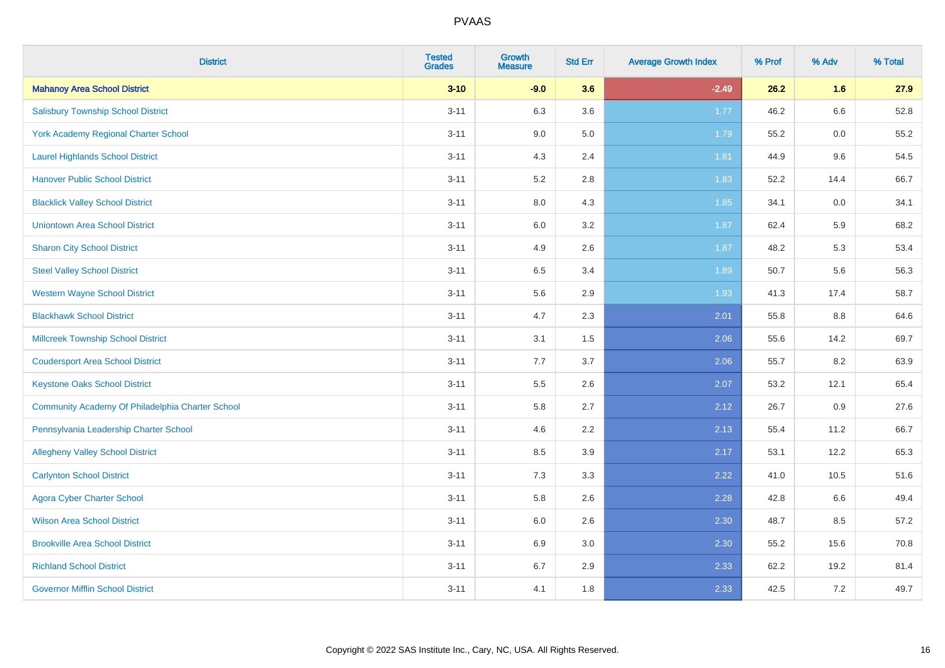| <b>District</b>                                  | <b>Tested</b><br><b>Grades</b> | <b>Growth</b><br><b>Measure</b> | <b>Std Err</b> | <b>Average Growth Index</b> | % Prof | % Adv | % Total |
|--------------------------------------------------|--------------------------------|---------------------------------|----------------|-----------------------------|--------|-------|---------|
| <b>Mahanoy Area School District</b>              | $3 - 10$                       | $-9.0$                          | 3.6            | $-2.49$                     | 26.2   | 1.6   | 27.9    |
| <b>Salisbury Township School District</b>        | $3 - 11$                       | 6.3                             | 3.6            | 1.77                        | 46.2   | 6.6   | 52.8    |
| York Academy Regional Charter School             | $3 - 11$                       | 9.0                             | 5.0            | 1.79                        | 55.2   | 0.0   | 55.2    |
| <b>Laurel Highlands School District</b>          | $3 - 11$                       | 4.3                             | 2.4            | 1.81                        | 44.9   | 9.6   | 54.5    |
| <b>Hanover Public School District</b>            | $3 - 11$                       | 5.2                             | 2.8            | 1.83                        | 52.2   | 14.4  | 66.7    |
| <b>Blacklick Valley School District</b>          | $3 - 11$                       | $8.0\,$                         | 4.3            | 1.85                        | 34.1   | 0.0   | 34.1    |
| <b>Uniontown Area School District</b>            | $3 - 11$                       | $6.0\,$                         | 3.2            | 1.87                        | 62.4   | 5.9   | 68.2    |
| <b>Sharon City School District</b>               | $3 - 11$                       | 4.9                             | 2.6            | 1.87                        | 48.2   | 5.3   | 53.4    |
| <b>Steel Valley School District</b>              | $3 - 11$                       | 6.5                             | 3.4            | 1.89                        | 50.7   | 5.6   | 56.3    |
| <b>Western Wayne School District</b>             | $3 - 11$                       | $5.6\,$                         | 2.9            | 1.93                        | 41.3   | 17.4  | 58.7    |
| <b>Blackhawk School District</b>                 | $3 - 11$                       | 4.7                             | 2.3            | 2.01                        | 55.8   | 8.8   | 64.6    |
| <b>Millcreek Township School District</b>        | $3 - 11$                       | 3.1                             | 1.5            | 2.06                        | 55.6   | 14.2  | 69.7    |
| <b>Coudersport Area School District</b>          | $3 - 11$                       | 7.7                             | 3.7            | 2.06                        | 55.7   | 8.2   | 63.9    |
| <b>Keystone Oaks School District</b>             | $3 - 11$                       | $5.5\,$                         | 2.6            | 2.07                        | 53.2   | 12.1  | 65.4    |
| Community Academy Of Philadelphia Charter School | $3 - 11$                       | 5.8                             | 2.7            | 2.12                        | 26.7   | 0.9   | 27.6    |
| Pennsylvania Leadership Charter School           | $3 - 11$                       | 4.6                             | 2.2            | 2.13                        | 55.4   | 11.2  | 66.7    |
| <b>Allegheny Valley School District</b>          | $3 - 11$                       | 8.5                             | 3.9            | 2.17                        | 53.1   | 12.2  | 65.3    |
| <b>Carlynton School District</b>                 | $3 - 11$                       | 7.3                             | 3.3            | 2.22                        | 41.0   | 10.5  | 51.6    |
| <b>Agora Cyber Charter School</b>                | $3 - 11$                       | 5.8                             | 2.6            | 2.28                        | 42.8   | 6.6   | 49.4    |
| <b>Wilson Area School District</b>               | $3 - 11$                       | 6.0                             | 2.6            | 2.30                        | 48.7   | 8.5   | 57.2    |
| <b>Brookville Area School District</b>           | $3 - 11$                       | 6.9                             | 3.0            | 2.30                        | 55.2   | 15.6  | 70.8    |
| <b>Richland School District</b>                  | $3 - 11$                       | 6.7                             | 2.9            | 2.33                        | 62.2   | 19.2  | 81.4    |
| <b>Governor Mifflin School District</b>          | $3 - 11$                       | 4.1                             | 1.8            | 2.33                        | 42.5   | 7.2   | 49.7    |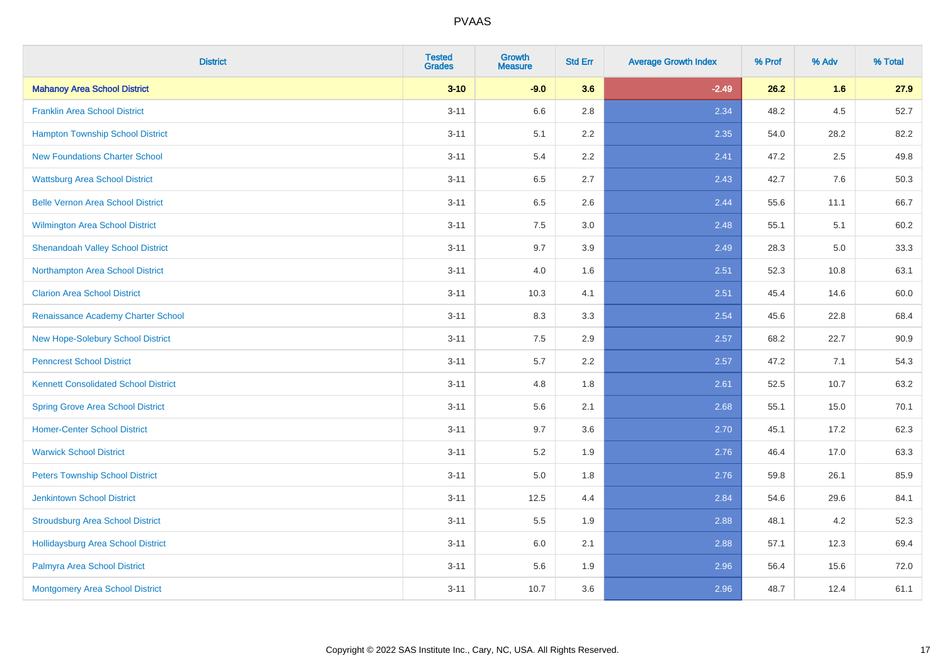| <b>District</b>                             | <b>Tested</b><br><b>Grades</b> | <b>Growth</b><br><b>Measure</b> | <b>Std Err</b> | <b>Average Growth Index</b> | % Prof | % Adv   | % Total |
|---------------------------------------------|--------------------------------|---------------------------------|----------------|-----------------------------|--------|---------|---------|
| <b>Mahanoy Area School District</b>         | $3 - 10$                       | $-9.0$                          | 3.6            | $-2.49$                     | 26.2   | 1.6     | 27.9    |
| <b>Franklin Area School District</b>        | $3 - 11$                       | 6.6                             | 2.8            | 2.34                        | 48.2   | $4.5\,$ | 52.7    |
| <b>Hampton Township School District</b>     | $3 - 11$                       | 5.1                             | 2.2            | 2.35                        | 54.0   | 28.2    | 82.2    |
| <b>New Foundations Charter School</b>       | $3 - 11$                       | 5.4                             | 2.2            | 2.41                        | 47.2   | 2.5     | 49.8    |
| <b>Wattsburg Area School District</b>       | $3 - 11$                       | 6.5                             | 2.7            | 2.43                        | 42.7   | 7.6     | 50.3    |
| <b>Belle Vernon Area School District</b>    | $3 - 11$                       | 6.5                             | 2.6            | 2.44                        | 55.6   | 11.1    | 66.7    |
| Wilmington Area School District             | $3 - 11$                       | 7.5                             | 3.0            | 2.48                        | 55.1   | 5.1     | 60.2    |
| <b>Shenandoah Valley School District</b>    | $3 - 11$                       | 9.7                             | 3.9            | 2.49                        | 28.3   | 5.0     | 33.3    |
| Northampton Area School District            | $3 - 11$                       | 4.0                             | 1.6            | 2.51                        | 52.3   | 10.8    | 63.1    |
| <b>Clarion Area School District</b>         | $3 - 11$                       | 10.3                            | 4.1            | 2.51                        | 45.4   | 14.6    | 60.0    |
| Renaissance Academy Charter School          | $3 - 11$                       | 8.3                             | 3.3            | 2.54                        | 45.6   | 22.8    | 68.4    |
| New Hope-Solebury School District           | $3 - 11$                       | 7.5                             | 2.9            | 2.57                        | 68.2   | 22.7    | 90.9    |
| <b>Penncrest School District</b>            | $3 - 11$                       | 5.7                             | 2.2            | 2.57                        | 47.2   | 7.1     | 54.3    |
| <b>Kennett Consolidated School District</b> | $3 - 11$                       | 4.8                             | 1.8            | 2.61                        | 52.5   | 10.7    | 63.2    |
| <b>Spring Grove Area School District</b>    | $3 - 11$                       | 5.6                             | 2.1            | 2.68                        | 55.1   | 15.0    | 70.1    |
| <b>Homer-Center School District</b>         | $3 - 11$                       | 9.7                             | 3.6            | 2.70                        | 45.1   | 17.2    | 62.3    |
| <b>Warwick School District</b>              | $3 - 11$                       | 5.2                             | 1.9            | 2.76                        | 46.4   | 17.0    | 63.3    |
| <b>Peters Township School District</b>      | $3 - 11$                       | 5.0                             | 1.8            | 2.76                        | 59.8   | 26.1    | 85.9    |
| <b>Jenkintown School District</b>           | $3 - 11$                       | 12.5                            | 4.4            | 2.84                        | 54.6   | 29.6    | 84.1    |
| <b>Stroudsburg Area School District</b>     | $3 - 11$                       | 5.5                             | 1.9            | 2.88                        | 48.1   | 4.2     | 52.3    |
| <b>Hollidaysburg Area School District</b>   | $3 - 11$                       | 6.0                             | 2.1            | 2.88                        | 57.1   | 12.3    | 69.4    |
| Palmyra Area School District                | $3 - 11$                       | 5.6                             | 1.9            | 2.96                        | 56.4   | 15.6    | 72.0    |
| Montgomery Area School District             | $3 - 11$                       | 10.7                            | 3.6            | 2.96                        | 48.7   | 12.4    | 61.1    |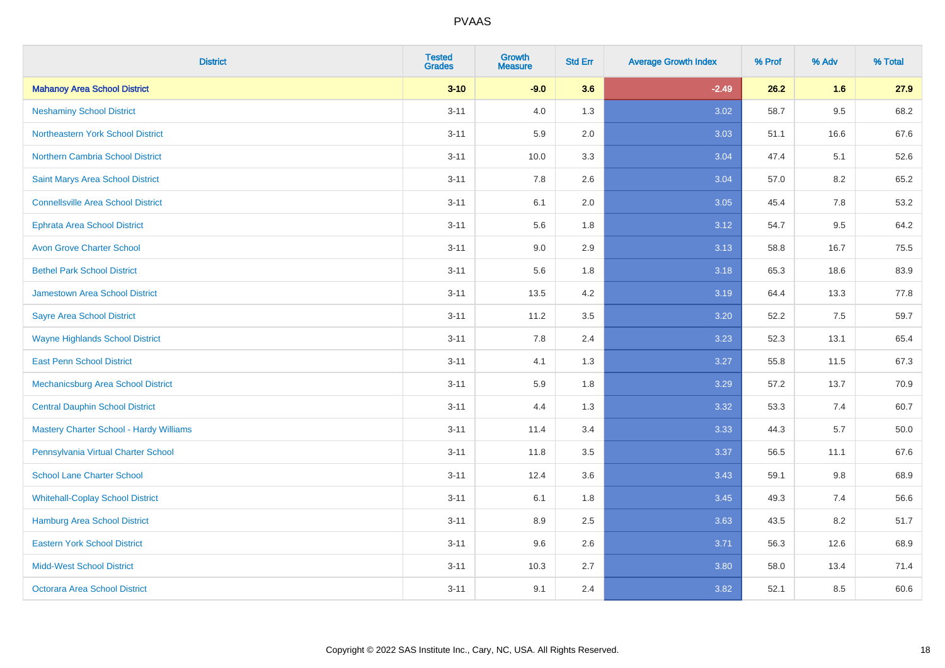| <b>District</b>                                | <b>Tested</b><br><b>Grades</b> | <b>Growth</b><br><b>Measure</b> | <b>Std Err</b> | <b>Average Growth Index</b> | % Prof | % Adv   | % Total |
|------------------------------------------------|--------------------------------|---------------------------------|----------------|-----------------------------|--------|---------|---------|
| <b>Mahanoy Area School District</b>            | $3 - 10$                       | $-9.0$                          | 3.6            | $-2.49$                     | 26.2   | 1.6     | 27.9    |
| <b>Neshaminy School District</b>               | $3 - 11$                       | 4.0                             | 1.3            | 3.02                        | 58.7   | $9.5\,$ | 68.2    |
| Northeastern York School District              | $3 - 11$                       | 5.9                             | 2.0            | 3.03                        | 51.1   | 16.6    | 67.6    |
| <b>Northern Cambria School District</b>        | $3 - 11$                       | 10.0                            | 3.3            | 3.04                        | 47.4   | 5.1     | 52.6    |
| Saint Marys Area School District               | $3 - 11$                       | 7.8                             | 2.6            | 3.04                        | 57.0   | 8.2     | 65.2    |
| <b>Connellsville Area School District</b>      | $3 - 11$                       | 6.1                             | 2.0            | 3.05                        | 45.4   | 7.8     | 53.2    |
| <b>Ephrata Area School District</b>            | $3 - 11$                       | 5.6                             | 1.8            | 3.12                        | 54.7   | 9.5     | 64.2    |
| <b>Avon Grove Charter School</b>               | $3 - 11$                       | 9.0                             | 2.9            | 3.13                        | 58.8   | 16.7    | 75.5    |
| <b>Bethel Park School District</b>             | $3 - 11$                       | 5.6                             | 1.8            | 3.18                        | 65.3   | 18.6    | 83.9    |
| <b>Jamestown Area School District</b>          | $3 - 11$                       | 13.5                            | 4.2            | 3.19                        | 64.4   | 13.3    | 77.8    |
| <b>Sayre Area School District</b>              | $3 - 11$                       | 11.2                            | 3.5            | 3.20                        | 52.2   | 7.5     | 59.7    |
| <b>Wayne Highlands School District</b>         | $3 - 11$                       | 7.8                             | 2.4            | 3.23                        | 52.3   | 13.1    | 65.4    |
| <b>East Penn School District</b>               | $3 - 11$                       | 4.1                             | 1.3            | 3.27                        | 55.8   | 11.5    | 67.3    |
| <b>Mechanicsburg Area School District</b>      | $3 - 11$                       | 5.9                             | 1.8            | 3.29                        | 57.2   | 13.7    | 70.9    |
| <b>Central Dauphin School District</b>         | $3 - 11$                       | 4.4                             | 1.3            | 3.32                        | 53.3   | 7.4     | 60.7    |
| <b>Mastery Charter School - Hardy Williams</b> | $3 - 11$                       | 11.4                            | 3.4            | 3.33                        | 44.3   | 5.7     | 50.0    |
| Pennsylvania Virtual Charter School            | $3 - 11$                       | 11.8                            | 3.5            | 3.37                        | 56.5   | 11.1    | 67.6    |
| <b>School Lane Charter School</b>              | $3 - 11$                       | 12.4                            | 3.6            | 3.43                        | 59.1   | 9.8     | 68.9    |
| <b>Whitehall-Coplay School District</b>        | $3 - 11$                       | 6.1                             | 1.8            | 3.45                        | 49.3   | 7.4     | 56.6    |
| Hamburg Area School District                   | $3 - 11$                       | 8.9                             | 2.5            | 3.63                        | 43.5   | 8.2     | 51.7    |
| <b>Eastern York School District</b>            | $3 - 11$                       | 9.6                             | 2.6            | 3.71                        | 56.3   | 12.6    | 68.9    |
| <b>Midd-West School District</b>               | $3 - 11$                       | 10.3                            | 2.7            | 3.80                        | 58.0   | 13.4    | 71.4    |
| <b>Octorara Area School District</b>           | $3 - 11$                       | 9.1                             | 2.4            | 3.82                        | 52.1   | 8.5     | 60.6    |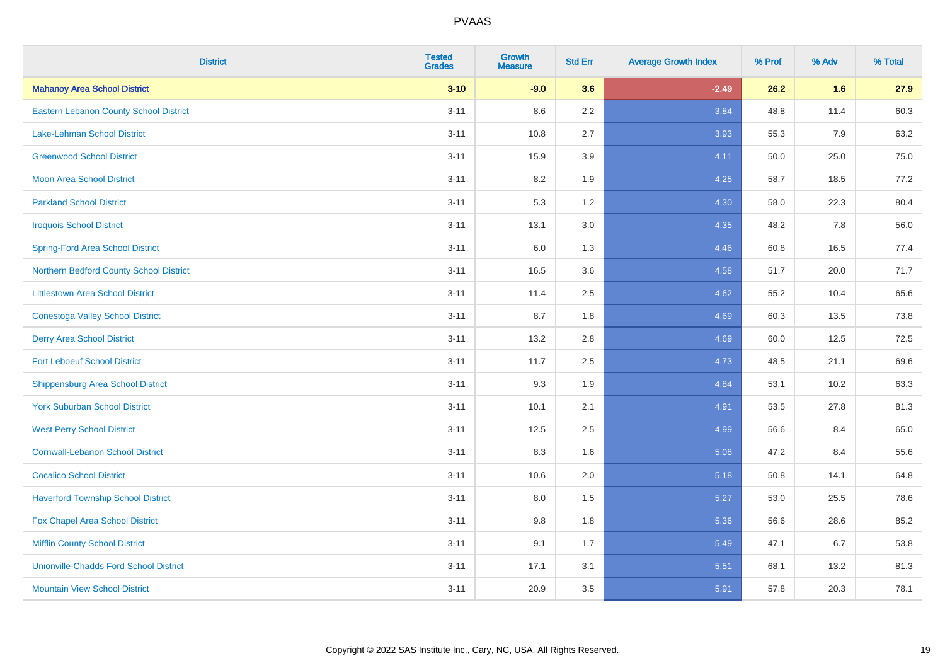| <b>District</b>                               | <b>Tested</b><br><b>Grades</b> | <b>Growth</b><br><b>Measure</b> | <b>Std Err</b> | <b>Average Growth Index</b> | % Prof | % Adv | % Total |
|-----------------------------------------------|--------------------------------|---------------------------------|----------------|-----------------------------|--------|-------|---------|
| <b>Mahanoy Area School District</b>           | $3 - 10$                       | $-9.0$                          | 3.6            | $-2.49$                     | 26.2   | 1.6   | 27.9    |
| <b>Eastern Lebanon County School District</b> | $3 - 11$                       | 8.6                             | $2.2\,$        | 3.84                        | 48.8   | 11.4  | 60.3    |
| <b>Lake-Lehman School District</b>            | $3 - 11$                       | 10.8                            | 2.7            | 3.93                        | 55.3   | 7.9   | 63.2    |
| <b>Greenwood School District</b>              | $3 - 11$                       | 15.9                            | 3.9            | 4.11                        | 50.0   | 25.0  | 75.0    |
| <b>Moon Area School District</b>              | $3 - 11$                       | 8.2                             | 1.9            | 4.25                        | 58.7   | 18.5  | 77.2    |
| <b>Parkland School District</b>               | $3 - 11$                       | 5.3                             | 1.2            | 4.30                        | 58.0   | 22.3  | 80.4    |
| <b>Iroquois School District</b>               | $3 - 11$                       | 13.1                            | 3.0            | 4.35                        | 48.2   | 7.8   | 56.0    |
| <b>Spring-Ford Area School District</b>       | $3 - 11$                       | 6.0                             | 1.3            | 4.46                        | 60.8   | 16.5  | 77.4    |
| Northern Bedford County School District       | $3 - 11$                       | 16.5                            | 3.6            | 4.58                        | 51.7   | 20.0  | 71.7    |
| <b>Littlestown Area School District</b>       | $3 - 11$                       | 11.4                            | 2.5            | 4.62                        | 55.2   | 10.4  | 65.6    |
| <b>Conestoga Valley School District</b>       | $3 - 11$                       | 8.7                             | 1.8            | 4.69                        | 60.3   | 13.5  | 73.8    |
| <b>Derry Area School District</b>             | $3 - 11$                       | 13.2                            | 2.8            | 4.69                        | 60.0   | 12.5  | 72.5    |
| <b>Fort Leboeuf School District</b>           | $3 - 11$                       | 11.7                            | 2.5            | 4.73                        | 48.5   | 21.1  | 69.6    |
| <b>Shippensburg Area School District</b>      | $3 - 11$                       | 9.3                             | 1.9            | 4.84                        | 53.1   | 10.2  | 63.3    |
| <b>York Suburban School District</b>          | $3 - 11$                       | 10.1                            | 2.1            | 4.91                        | 53.5   | 27.8  | 81.3    |
| <b>West Perry School District</b>             | $3 - 11$                       | 12.5                            | 2.5            | 4.99                        | 56.6   | 8.4   | 65.0    |
| <b>Cornwall-Lebanon School District</b>       | $3 - 11$                       | 8.3                             | 1.6            | 5.08                        | 47.2   | 8.4   | 55.6    |
| <b>Cocalico School District</b>               | $3 - 11$                       | 10.6                            | 2.0            | 5.18                        | 50.8   | 14.1  | 64.8    |
| <b>Haverford Township School District</b>     | $3 - 11$                       | 8.0                             | 1.5            | 5.27                        | 53.0   | 25.5  | 78.6    |
| Fox Chapel Area School District               | $3 - 11$                       | 9.8                             | 1.8            | 5.36                        | 56.6   | 28.6  | 85.2    |
| <b>Mifflin County School District</b>         | $3 - 11$                       | 9.1                             | 1.7            | 5.49                        | 47.1   | 6.7   | 53.8    |
| <b>Unionville-Chadds Ford School District</b> | $3 - 11$                       | 17.1                            | 3.1            | 5.51                        | 68.1   | 13.2  | 81.3    |
| <b>Mountain View School District</b>          | $3 - 11$                       | 20.9                            | 3.5            | 5.91                        | 57.8   | 20.3  | 78.1    |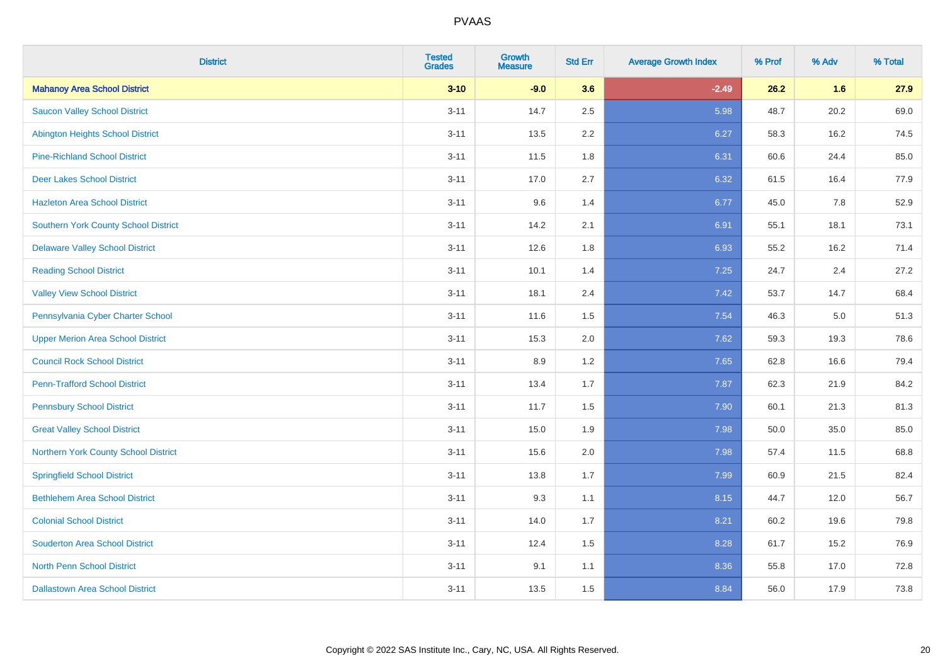| <b>District</b>                          | <b>Tested</b><br><b>Grades</b> | <b>Growth</b><br><b>Measure</b> | <b>Std Err</b> | <b>Average Growth Index</b> | % Prof | % Adv | % Total |
|------------------------------------------|--------------------------------|---------------------------------|----------------|-----------------------------|--------|-------|---------|
| <b>Mahanoy Area School District</b>      | $3 - 10$                       | $-9.0$                          | 3.6            | $-2.49$                     | 26.2   | 1.6   | 27.9    |
| <b>Saucon Valley School District</b>     | $3 - 11$                       | 14.7                            | 2.5            | 5.98                        | 48.7   | 20.2  | 69.0    |
| <b>Abington Heights School District</b>  | $3 - 11$                       | 13.5                            | 2.2            | 6.27                        | 58.3   | 16.2  | 74.5    |
| <b>Pine-Richland School District</b>     | $3 - 11$                       | 11.5                            | 1.8            | 6.31                        | 60.6   | 24.4  | 85.0    |
| <b>Deer Lakes School District</b>        | $3 - 11$                       | 17.0                            | 2.7            | 6.32                        | 61.5   | 16.4  | 77.9    |
| <b>Hazleton Area School District</b>     | $3 - 11$                       | 9.6                             | 1.4            | 6.77                        | 45.0   | 7.8   | 52.9    |
| Southern York County School District     | $3 - 11$                       | 14.2                            | 2.1            | 6.91                        | 55.1   | 18.1  | 73.1    |
| <b>Delaware Valley School District</b>   | $3 - 11$                       | 12.6                            | 1.8            | 6.93                        | 55.2   | 16.2  | 71.4    |
| <b>Reading School District</b>           | $3 - 11$                       | 10.1                            | 1.4            | 7.25                        | 24.7   | 2.4   | 27.2    |
| <b>Valley View School District</b>       | $3 - 11$                       | 18.1                            | 2.4            | 7.42                        | 53.7   | 14.7  | 68.4    |
| Pennsylvania Cyber Charter School        | $3 - 11$                       | 11.6                            | 1.5            | 7.54                        | 46.3   | 5.0   | 51.3    |
| <b>Upper Merion Area School District</b> | $3 - 11$                       | 15.3                            | 2.0            | 7.62                        | 59.3   | 19.3  | 78.6    |
| <b>Council Rock School District</b>      | $3 - 11$                       | 8.9                             | 1.2            | 7.65                        | 62.8   | 16.6  | 79.4    |
| <b>Penn-Trafford School District</b>     | $3 - 11$                       | 13.4                            | 1.7            | 7.87                        | 62.3   | 21.9  | 84.2    |
| <b>Pennsbury School District</b>         | $3 - 11$                       | 11.7                            | 1.5            | 7.90                        | 60.1   | 21.3  | 81.3    |
| <b>Great Valley School District</b>      | $3 - 11$                       | 15.0                            | 1.9            | 7.98                        | 50.0   | 35.0  | 85.0    |
| Northern York County School District     | $3 - 11$                       | 15.6                            | 2.0            | 7.98                        | 57.4   | 11.5  | 68.8    |
| <b>Springfield School District</b>       | $3 - 11$                       | 13.8                            | 1.7            | 7.99                        | 60.9   | 21.5  | 82.4    |
| <b>Bethlehem Area School District</b>    | $3 - 11$                       | 9.3                             | 1.1            | 8.15                        | 44.7   | 12.0  | 56.7    |
| <b>Colonial School District</b>          | $3 - 11$                       | 14.0                            | 1.7            | 8.21                        | 60.2   | 19.6  | 79.8    |
| <b>Souderton Area School District</b>    | $3 - 11$                       | 12.4                            | 1.5            | 8.28                        | 61.7   | 15.2  | 76.9    |
| <b>North Penn School District</b>        | $3 - 11$                       | 9.1                             | 1.1            | 8.36                        | 55.8   | 17.0  | 72.8    |
| <b>Dallastown Area School District</b>   | $3 - 11$                       | 13.5                            | 1.5            | 8.84                        | 56.0   | 17.9  | 73.8    |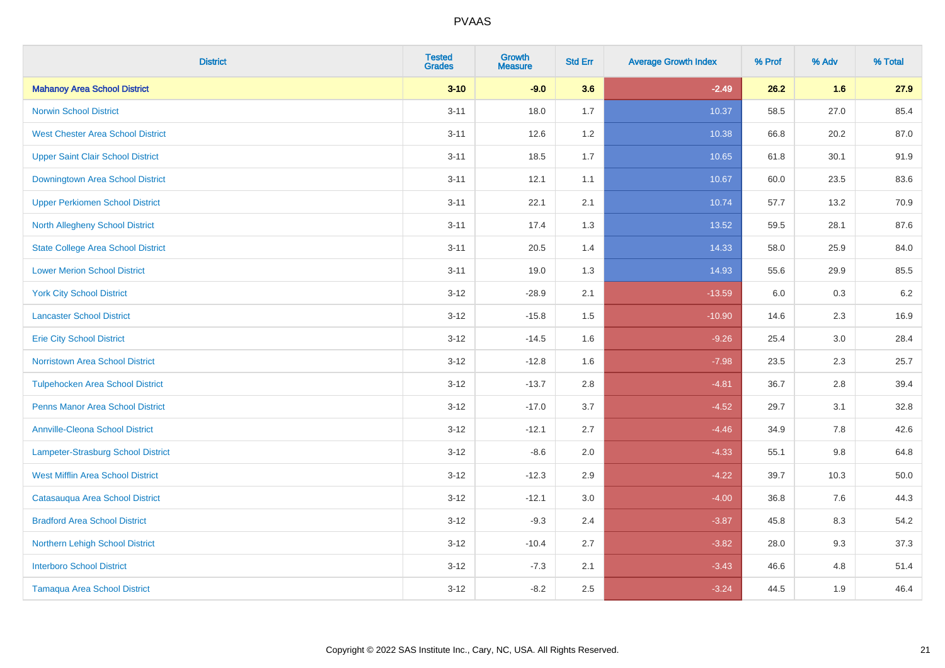| <b>District</b>                           | <b>Tested</b><br><b>Grades</b> | Growth<br><b>Measure</b> | <b>Std Err</b> | <b>Average Growth Index</b> | % Prof | % Adv   | % Total |
|-------------------------------------------|--------------------------------|--------------------------|----------------|-----------------------------|--------|---------|---------|
| <b>Mahanoy Area School District</b>       | $3 - 10$                       | $-9.0$                   | 3.6            | $-2.49$                     | 26.2   | 1.6     | 27.9    |
| <b>Norwin School District</b>             | $3 - 11$                       | 18.0                     | 1.7            | 10.37                       | 58.5   | 27.0    | 85.4    |
| <b>West Chester Area School District</b>  | $3 - 11$                       | 12.6                     | 1.2            | 10.38                       | 66.8   | 20.2    | 87.0    |
| <b>Upper Saint Clair School District</b>  | $3 - 11$                       | 18.5                     | 1.7            | 10.65                       | 61.8   | 30.1    | 91.9    |
| Downingtown Area School District          | $3 - 11$                       | 12.1                     | 1.1            | 10.67                       | 60.0   | 23.5    | 83.6    |
| <b>Upper Perkiomen School District</b>    | $3 - 11$                       | 22.1                     | 2.1            | 10.74                       | 57.7   | 13.2    | 70.9    |
| <b>North Allegheny School District</b>    | $3 - 11$                       | 17.4                     | 1.3            | 13.52                       | 59.5   | 28.1    | 87.6    |
| <b>State College Area School District</b> | $3 - 11$                       | 20.5                     | 1.4            | 14.33                       | 58.0   | 25.9    | 84.0    |
| <b>Lower Merion School District</b>       | $3 - 11$                       | 19.0                     | 1.3            | 14.93                       | 55.6   | 29.9    | 85.5    |
| <b>York City School District</b>          | $3 - 12$                       | $-28.9$                  | 2.1            | $-13.59$                    | 6.0    | 0.3     | 6.2     |
| <b>Lancaster School District</b>          | $3 - 12$                       | $-15.8$                  | 1.5            | $-10.90$                    | 14.6   | 2.3     | 16.9    |
| <b>Erie City School District</b>          | $3 - 12$                       | $-14.5$                  | 1.6            | $-9.26$                     | 25.4   | 3.0     | 28.4    |
| <b>Norristown Area School District</b>    | $3 - 12$                       | $-12.8$                  | 1.6            | $-7.98$                     | 23.5   | $2.3\,$ | 25.7    |
| <b>Tulpehocken Area School District</b>   | $3 - 12$                       | $-13.7$                  | 2.8            | $-4.81$                     | 36.7   | 2.8     | 39.4    |
| <b>Penns Manor Area School District</b>   | $3 - 12$                       | $-17.0$                  | 3.7            | $-4.52$                     | 29.7   | 3.1     | 32.8    |
| <b>Annville-Cleona School District</b>    | $3 - 12$                       | $-12.1$                  | 2.7            | $-4.46$                     | 34.9   | $7.8\,$ | 42.6    |
| Lampeter-Strasburg School District        | $3 - 12$                       | $-8.6$                   | 2.0            | $-4.33$                     | 55.1   | 9.8     | 64.8    |
| <b>West Mifflin Area School District</b>  | $3-12$                         | $-12.3$                  | 2.9            | $-4.22$                     | 39.7   | 10.3    | 50.0    |
| Catasauqua Area School District           | $3 - 12$                       | $-12.1$                  | 3.0            | $-4.00$                     | 36.8   | 7.6     | 44.3    |
| <b>Bradford Area School District</b>      | $3 - 12$                       | $-9.3$                   | 2.4            | $-3.87$                     | 45.8   | 8.3     | 54.2    |
| Northern Lehigh School District           | $3 - 12$                       | $-10.4$                  | 2.7            | $-3.82$                     | 28.0   | 9.3     | 37.3    |
| <b>Interboro School District</b>          | $3-12$                         | $-7.3$                   | 2.1            | $-3.43$                     | 46.6   | 4.8     | 51.4    |
| <b>Tamaqua Area School District</b>       | $3 - 12$                       | $-8.2$                   | 2.5            | $-3.24$                     | 44.5   | 1.9     | 46.4    |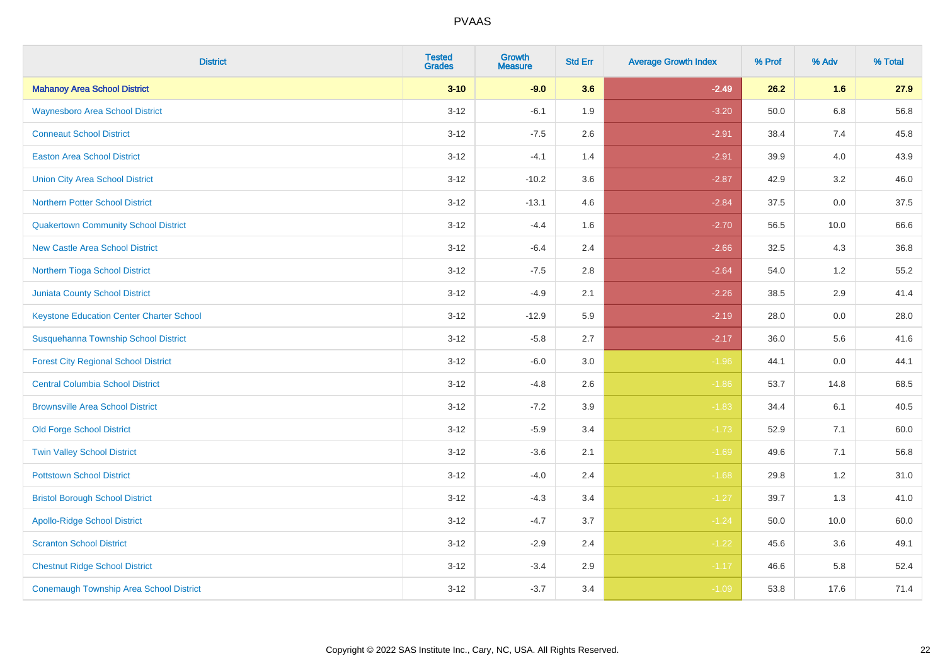| <b>District</b>                                 | <b>Tested</b><br><b>Grades</b> | <b>Growth</b><br><b>Measure</b> | <b>Std Err</b> | <b>Average Growth Index</b> | % Prof | % Adv   | % Total |
|-------------------------------------------------|--------------------------------|---------------------------------|----------------|-----------------------------|--------|---------|---------|
| <b>Mahanoy Area School District</b>             | $3 - 10$                       | $-9.0$                          | 3.6            | $-2.49$                     | 26.2   | 1.6     | 27.9    |
| <b>Waynesboro Area School District</b>          | $3 - 12$                       | $-6.1$                          | 1.9            | $-3.20$                     | 50.0   | $6.8\,$ | 56.8    |
| <b>Conneaut School District</b>                 | $3 - 12$                       | $-7.5$                          | 2.6            | $-2.91$                     | 38.4   | 7.4     | 45.8    |
| <b>Easton Area School District</b>              | $3 - 12$                       | $-4.1$                          | 1.4            | $-2.91$                     | 39.9   | 4.0     | 43.9    |
| <b>Union City Area School District</b>          | $3-12$                         | $-10.2$                         | 3.6            | $-2.87$                     | 42.9   | 3.2     | 46.0    |
| <b>Northern Potter School District</b>          | $3 - 12$                       | $-13.1$                         | 4.6            | $-2.84$                     | 37.5   | 0.0     | 37.5    |
| <b>Quakertown Community School District</b>     | $3 - 12$                       | $-4.4$                          | 1.6            | $-2.70$                     | 56.5   | 10.0    | 66.6    |
| <b>New Castle Area School District</b>          | $3 - 12$                       | $-6.4$                          | 2.4            | $-2.66$                     | 32.5   | 4.3     | 36.8    |
| Northern Tioga School District                  | $3 - 12$                       | $-7.5$                          | 2.8            | $-2.64$                     | 54.0   | 1.2     | 55.2    |
| <b>Juniata County School District</b>           | $3-12$                         | $-4.9$                          | 2.1            | $-2.26$                     | 38.5   | 2.9     | 41.4    |
| <b>Keystone Education Center Charter School</b> | $3 - 12$                       | $-12.9$                         | 5.9            | $-2.19$                     | 28.0   | 0.0     | 28.0    |
| Susquehanna Township School District            | $3 - 12$                       | $-5.8$                          | 2.7            | $-2.17$                     | 36.0   | 5.6     | 41.6    |
| <b>Forest City Regional School District</b>     | $3 - 12$                       | $-6.0$                          | $3.0\,$        | $-1.96$                     | 44.1   | $0.0\,$ | 44.1    |
| <b>Central Columbia School District</b>         | $3 - 12$                       | $-4.8$                          | 2.6            | $-1.86$                     | 53.7   | 14.8    | 68.5    |
| <b>Brownsville Area School District</b>         | $3 - 12$                       | $-7.2$                          | 3.9            | $-1.83$                     | 34.4   | 6.1     | 40.5    |
| <b>Old Forge School District</b>                | $3 - 12$                       | $-5.9$                          | 3.4            | $-1.73$                     | 52.9   | 7.1     | 60.0    |
| <b>Twin Valley School District</b>              | $3 - 12$                       | $-3.6$                          | 2.1            | $-1.69$                     | 49.6   | 7.1     | 56.8    |
| <b>Pottstown School District</b>                | $3 - 12$                       | $-4.0$                          | 2.4            | $-1.68$                     | 29.8   | 1.2     | 31.0    |
| <b>Bristol Borough School District</b>          | $3 - 12$                       | $-4.3$                          | 3.4            | $-1.27$                     | 39.7   | 1.3     | 41.0    |
| <b>Apollo-Ridge School District</b>             | $3 - 12$                       | $-4.7$                          | 3.7            | $-1.24$                     | 50.0   | 10.0    | 60.0    |
| <b>Scranton School District</b>                 | $3-12$                         | $-2.9$                          | 2.4            | $-1.22$                     | 45.6   | 3.6     | 49.1    |
| <b>Chestnut Ridge School District</b>           | $3 - 12$                       | $-3.4$                          | 2.9            | $-1.17$                     | 46.6   | 5.8     | 52.4    |
| <b>Conemaugh Township Area School District</b>  | $3 - 12$                       | $-3.7$                          | 3.4            | $-1.09$                     | 53.8   | 17.6    | 71.4    |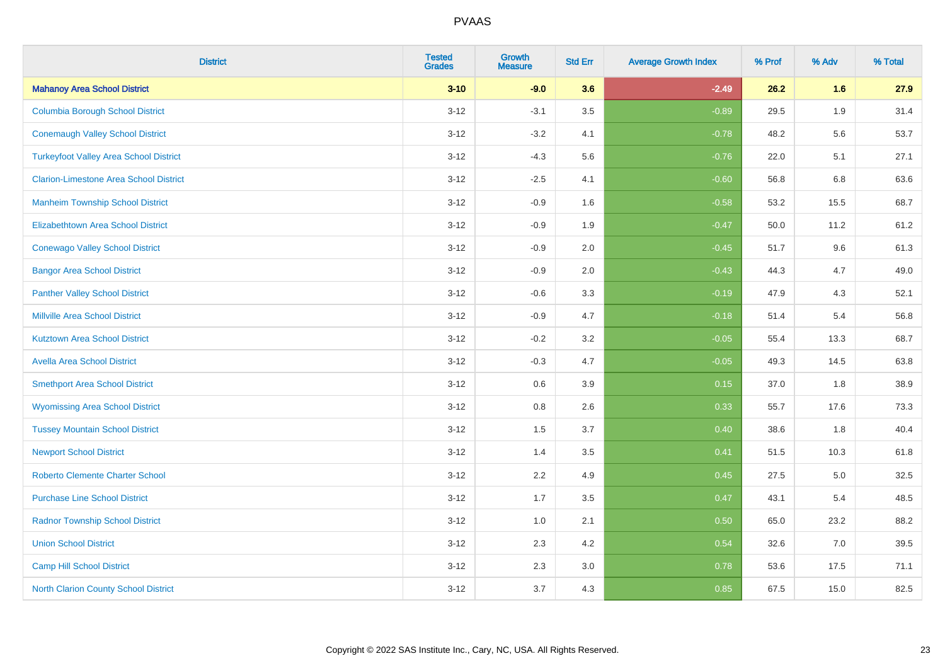| <b>District</b>                               | <b>Tested</b><br><b>Grades</b> | <b>Growth</b><br><b>Measure</b> | <b>Std Err</b> | <b>Average Growth Index</b> | % Prof | % Adv | % Total |
|-----------------------------------------------|--------------------------------|---------------------------------|----------------|-----------------------------|--------|-------|---------|
| <b>Mahanoy Area School District</b>           | $3 - 10$                       | $-9.0$                          | 3.6            | $-2.49$                     | 26.2   | 1.6   | 27.9    |
| <b>Columbia Borough School District</b>       | $3 - 12$                       | $-3.1$                          | 3.5            | $-0.89$                     | 29.5   | 1.9   | 31.4    |
| <b>Conemaugh Valley School District</b>       | $3 - 12$                       | $-3.2$                          | 4.1            | $-0.78$                     | 48.2   | 5.6   | 53.7    |
| <b>Turkeyfoot Valley Area School District</b> | $3-12$                         | $-4.3$                          | 5.6            | $-0.76$                     | 22.0   | 5.1   | 27.1    |
| <b>Clarion-Limestone Area School District</b> | $3 - 12$                       | $-2.5$                          | 4.1            | $-0.60$                     | 56.8   | 6.8   | 63.6    |
| <b>Manheim Township School District</b>       | $3 - 12$                       | $-0.9$                          | 1.6            | $-0.58$                     | 53.2   | 15.5  | 68.7    |
| Elizabethtown Area School District            | $3 - 12$                       | $-0.9$                          | 1.9            | $-0.47$                     | 50.0   | 11.2  | 61.2    |
| <b>Conewago Valley School District</b>        | $3 - 12$                       | $-0.9$                          | 2.0            | $-0.45$                     | 51.7   | 9.6   | 61.3    |
| <b>Bangor Area School District</b>            | $3-12$                         | $-0.9$                          | 2.0            | $-0.43$                     | 44.3   | 4.7   | 49.0    |
| <b>Panther Valley School District</b>         | $3 - 12$                       | $-0.6$                          | 3.3            | $-0.19$                     | 47.9   | 4.3   | 52.1    |
| <b>Millville Area School District</b>         | $3 - 12$                       | $-0.9$                          | 4.7            | $-0.18$                     | 51.4   | 5.4   | 56.8    |
| <b>Kutztown Area School District</b>          | $3-12$                         | $-0.2$                          | 3.2            | $-0.05$                     | 55.4   | 13.3  | 68.7    |
| <b>Avella Area School District</b>            | $3 - 12$                       | $-0.3$                          | 4.7            | $-0.05$                     | 49.3   | 14.5  | 63.8    |
| <b>Smethport Area School District</b>         | $3 - 12$                       | 0.6                             | 3.9            | 0.15                        | 37.0   | 1.8   | 38.9    |
| <b>Wyomissing Area School District</b>        | $3-12$                         | 0.8                             | 2.6            | 0.33                        | 55.7   | 17.6  | 73.3    |
| <b>Tussey Mountain School District</b>        | $3 - 12$                       | 1.5                             | 3.7            | 0.40                        | 38.6   | 1.8   | 40.4    |
| <b>Newport School District</b>                | $3 - 12$                       | 1.4                             | 3.5            | 0.41                        | 51.5   | 10.3  | 61.8    |
| <b>Roberto Clemente Charter School</b>        | $3 - 12$                       | 2.2                             | 4.9            | 0.45                        | 27.5   | 5.0   | 32.5    |
| <b>Purchase Line School District</b>          | $3-12$                         | 1.7                             | 3.5            | 0.47                        | 43.1   | 5.4   | 48.5    |
| <b>Radnor Township School District</b>        | $3 - 12$                       | 1.0                             | 2.1            | 0.50                        | 65.0   | 23.2  | 88.2    |
| <b>Union School District</b>                  | $3 - 12$                       | 2.3                             | 4.2            | 0.54                        | 32.6   | 7.0   | 39.5    |
| <b>Camp Hill School District</b>              | $3-12$                         | 2.3                             | 3.0            | 0.78                        | 53.6   | 17.5  | 71.1    |
| North Clarion County School District          | $3 - 12$                       | 3.7                             | 4.3            | 0.85                        | 67.5   | 15.0  | 82.5    |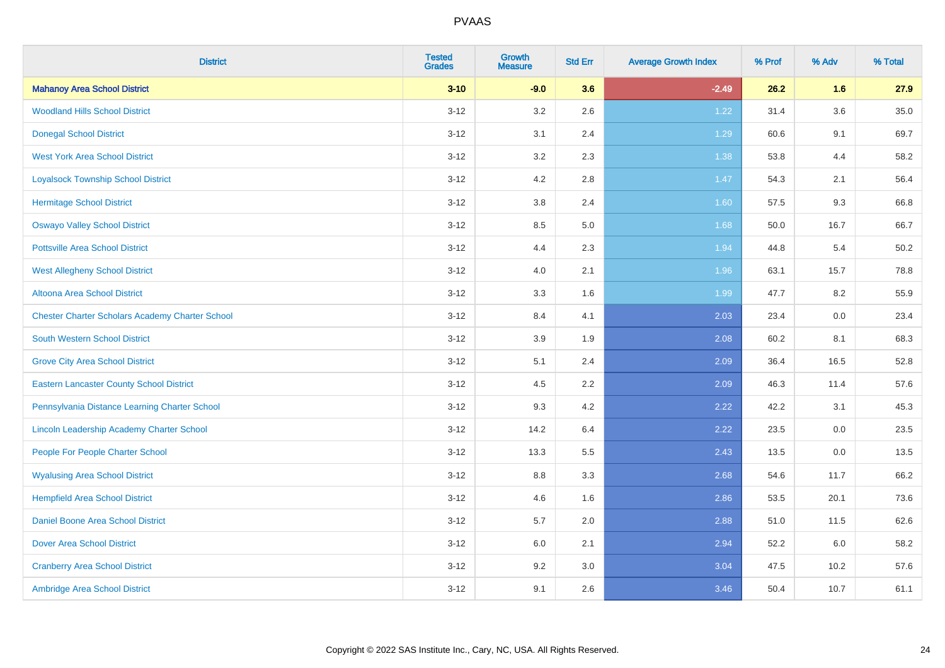| <b>District</b>                                        | <b>Tested</b><br><b>Grades</b> | Growth<br><b>Measure</b> | <b>Std Err</b> | <b>Average Growth Index</b> | % Prof | % Adv | % Total |
|--------------------------------------------------------|--------------------------------|--------------------------|----------------|-----------------------------|--------|-------|---------|
| <b>Mahanoy Area School District</b>                    | $3 - 10$                       | $-9.0$                   | 3.6            | $-2.49$                     | 26.2   | 1.6   | 27.9    |
| <b>Woodland Hills School District</b>                  | $3 - 12$                       | 3.2                      | 2.6            | 1.22                        | 31.4   | 3.6   | 35.0    |
| <b>Donegal School District</b>                         | $3-12$                         | 3.1                      | 2.4            | 1.29                        | 60.6   | 9.1   | 69.7    |
| <b>West York Area School District</b>                  | $3 - 12$                       | $3.2\,$                  | 2.3            | 1.38                        | 53.8   | 4.4   | 58.2    |
| <b>Loyalsock Township School District</b>              | $3 - 12$                       | 4.2                      | 2.8            | 1.47                        | 54.3   | 2.1   | 56.4    |
| <b>Hermitage School District</b>                       | $3-12$                         | $3.8\,$                  | 2.4            | 1.60                        | 57.5   | 9.3   | 66.8    |
| <b>Oswayo Valley School District</b>                   | $3 - 12$                       | 8.5                      | 5.0            | 1.68                        | 50.0   | 16.7  | 66.7    |
| <b>Pottsville Area School District</b>                 | $3 - 12$                       | 4.4                      | 2.3            | 1.94                        | 44.8   | 5.4   | 50.2    |
| <b>West Allegheny School District</b>                  | $3-12$                         | 4.0                      | 2.1            | 1.96                        | 63.1   | 15.7  | 78.8    |
| <b>Altoona Area School District</b>                    | $3 - 12$                       | $3.3\,$                  | 1.6            | 1.99                        | 47.7   | 8.2   | 55.9    |
| <b>Chester Charter Scholars Academy Charter School</b> | $3-12$                         | 8.4                      | 4.1            | 2.03                        | 23.4   | 0.0   | 23.4    |
| <b>South Western School District</b>                   | $3 - 12$                       | 3.9                      | 1.9            | 2.08                        | 60.2   | 8.1   | 68.3    |
| <b>Grove City Area School District</b>                 | $3 - 12$                       | 5.1                      | 2.4            | 2.09                        | 36.4   | 16.5  | 52.8    |
| <b>Eastern Lancaster County School District</b>        | $3-12$                         | 4.5                      | 2.2            | 2.09                        | 46.3   | 11.4  | 57.6    |
| Pennsylvania Distance Learning Charter School          | $3-12$                         | 9.3                      | 4.2            | 2.22                        | 42.2   | 3.1   | 45.3    |
| Lincoln Leadership Academy Charter School              | $3 - 12$                       | 14.2                     | 6.4            | 2.22                        | 23.5   | 0.0   | 23.5    |
| People For People Charter School                       | $3 - 12$                       | 13.3                     | 5.5            | 2.43                        | 13.5   | 0.0   | 13.5    |
| <b>Wyalusing Area School District</b>                  | $3 - 12$                       | 8.8                      | 3.3            | 2.68                        | 54.6   | 11.7  | 66.2    |
| <b>Hempfield Area School District</b>                  | $3 - 12$                       | 4.6                      | 1.6            | 2.86                        | 53.5   | 20.1  | 73.6    |
| <b>Daniel Boone Area School District</b>               | $3 - 12$                       | 5.7                      | 2.0            | 2.88                        | 51.0   | 11.5  | 62.6    |
| <b>Dover Area School District</b>                      | $3 - 12$                       | 6.0                      | 2.1            | 2.94                        | 52.2   | 6.0   | 58.2    |
| <b>Cranberry Area School District</b>                  | $3 - 12$                       | 9.2                      | 3.0            | 3.04                        | 47.5   | 10.2  | 57.6    |
| Ambridge Area School District                          | $3 - 12$                       | 9.1                      | 2.6            | 3.46                        | 50.4   | 10.7  | 61.1    |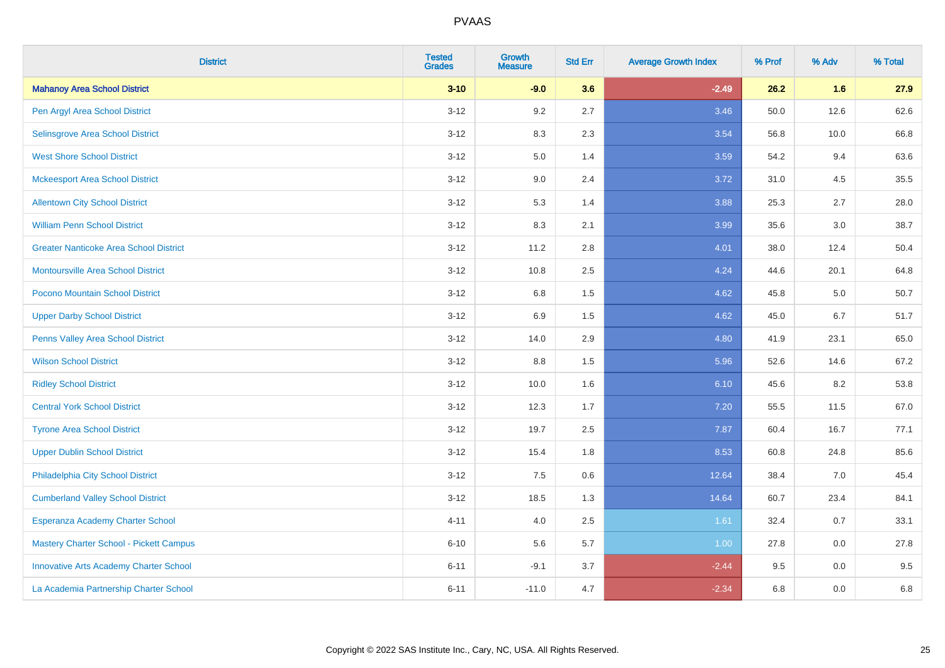| <b>District</b>                               | <b>Tested</b><br><b>Grades</b> | <b>Growth</b><br><b>Measure</b> | <b>Std Err</b> | <b>Average Growth Index</b> | % Prof | % Adv | % Total |
|-----------------------------------------------|--------------------------------|---------------------------------|----------------|-----------------------------|--------|-------|---------|
| <b>Mahanoy Area School District</b>           | $3 - 10$                       | $-9.0$                          | 3.6            | $-2.49$                     | 26.2   | 1.6   | 27.9    |
| Pen Argyl Area School District                | $3 - 12$                       | 9.2                             | 2.7            | 3.46                        | 50.0   | 12.6  | 62.6    |
| Selinsgrove Area School District              | $3 - 12$                       | 8.3                             | 2.3            | 3.54                        | 56.8   | 10.0  | 66.8    |
| <b>West Shore School District</b>             | $3 - 12$                       | 5.0                             | 1.4            | 3.59                        | 54.2   | 9.4   | 63.6    |
| <b>Mckeesport Area School District</b>        | $3 - 12$                       | 9.0                             | 2.4            | 3.72                        | 31.0   | 4.5   | 35.5    |
| <b>Allentown City School District</b>         | $3 - 12$                       | 5.3                             | 1.4            | 3.88                        | 25.3   | 2.7   | 28.0    |
| <b>William Penn School District</b>           | $3 - 12$                       | 8.3                             | 2.1            | 3.99                        | 35.6   | 3.0   | 38.7    |
| <b>Greater Nanticoke Area School District</b> | $3 - 12$                       | 11.2                            | 2.8            | 4.01                        | 38.0   | 12.4  | 50.4    |
| Montoursville Area School District            | $3 - 12$                       | 10.8                            | 2.5            | 4.24                        | 44.6   | 20.1  | 64.8    |
| Pocono Mountain School District               | $3 - 12$                       | 6.8                             | 1.5            | 4.62                        | 45.8   | 5.0   | 50.7    |
| <b>Upper Darby School District</b>            | $3 - 12$                       | 6.9                             | 1.5            | 4.62                        | 45.0   | 6.7   | 51.7    |
| Penns Valley Area School District             | $3 - 12$                       | 14.0                            | 2.9            | 4.80                        | 41.9   | 23.1  | 65.0    |
| <b>Wilson School District</b>                 | $3 - 12$                       | $8.8\,$                         | 1.5            | 5.96                        | 52.6   | 14.6  | 67.2    |
| <b>Ridley School District</b>                 | $3 - 12$                       | 10.0                            | 1.6            | 6.10                        | 45.6   | 8.2   | 53.8    |
| <b>Central York School District</b>           | $3 - 12$                       | 12.3                            | 1.7            | 7.20                        | 55.5   | 11.5  | 67.0    |
| <b>Tyrone Area School District</b>            | $3 - 12$                       | 19.7                            | 2.5            | 7.87                        | 60.4   | 16.7  | 77.1    |
| <b>Upper Dublin School District</b>           | $3 - 12$                       | 15.4                            | 1.8            | 8.53                        | 60.8   | 24.8  | 85.6    |
| Philadelphia City School District             | $3 - 12$                       | 7.5                             | 0.6            | 12.64                       | 38.4   | 7.0   | 45.4    |
| <b>Cumberland Valley School District</b>      | $3 - 12$                       | 18.5                            | 1.3            | 14.64                       | 60.7   | 23.4  | 84.1    |
| Esperanza Academy Charter School              | $4 - 11$                       | 4.0                             | 2.5            | 1.61                        | 32.4   | 0.7   | 33.1    |
| Mastery Charter School - Pickett Campus       | $6 - 10$                       | 5.6                             | 5.7            | 1.00                        | 27.8   | 0.0   | 27.8    |
| <b>Innovative Arts Academy Charter School</b> | $6 - 11$                       | $-9.1$                          | 3.7            | $-2.44$                     | 9.5    | 0.0   | 9.5     |
| La Academia Partnership Charter School        | $6 - 11$                       | $-11.0$                         | 4.7            | $-2.34$                     | 6.8    | 0.0   | 6.8     |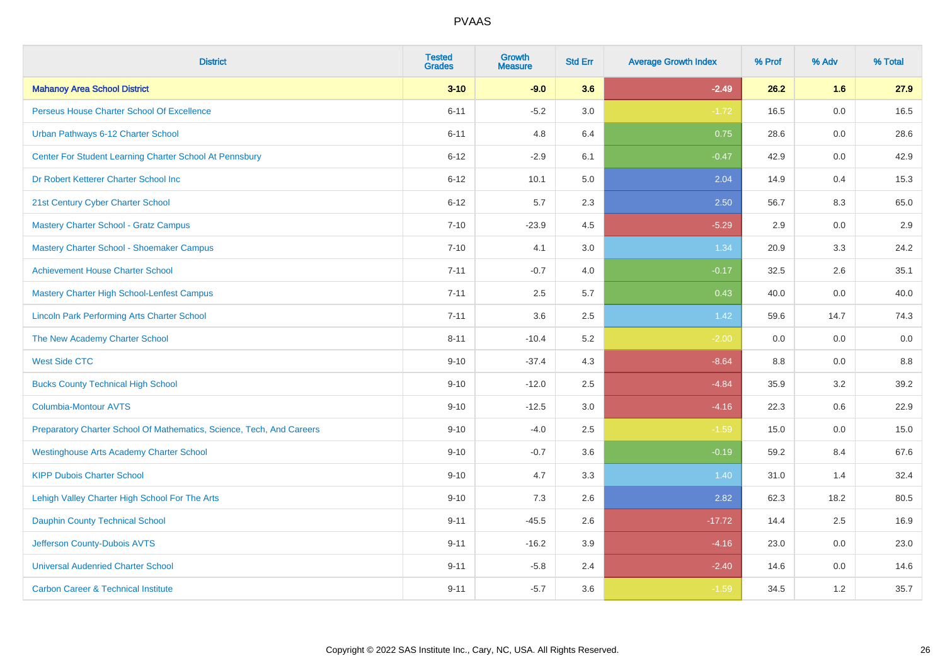| <b>District</b>                                                       | <b>Tested</b><br><b>Grades</b> | <b>Growth</b><br><b>Measure</b> | <b>Std Err</b> | <b>Average Growth Index</b> | % Prof | % Adv | % Total |
|-----------------------------------------------------------------------|--------------------------------|---------------------------------|----------------|-----------------------------|--------|-------|---------|
| <b>Mahanoy Area School District</b>                                   | $3 - 10$                       | $-9.0$                          | 3.6            | $-2.49$                     | 26.2   | 1.6   | 27.9    |
| Perseus House Charter School Of Excellence                            | $6 - 11$                       | $-5.2$                          | 3.0            | $-1.72$                     | 16.5   | 0.0   | 16.5    |
| Urban Pathways 6-12 Charter School                                    | $6 - 11$                       | 4.8                             | 6.4            | 0.75                        | 28.6   | 0.0   | 28.6    |
| Center For Student Learning Charter School At Pennsbury               | $6 - 12$                       | $-2.9$                          | 6.1            | $-0.47$                     | 42.9   | 0.0   | 42.9    |
| Dr Robert Ketterer Charter School Inc                                 | $6 - 12$                       | 10.1                            | 5.0            | 2.04                        | 14.9   | 0.4   | 15.3    |
| 21st Century Cyber Charter School                                     | $6 - 12$                       | 5.7                             | 2.3            | 2.50                        | 56.7   | 8.3   | 65.0    |
| <b>Mastery Charter School - Gratz Campus</b>                          | $7 - 10$                       | $-23.9$                         | 4.5            | $-5.29$                     | 2.9    | 0.0   | 2.9     |
| Mastery Charter School - Shoemaker Campus                             | $7 - 10$                       | 4.1                             | 3.0            | 1.34                        | 20.9   | 3.3   | 24.2    |
| <b>Achievement House Charter School</b>                               | $7 - 11$                       | $-0.7$                          | 4.0            | $-0.17$                     | 32.5   | 2.6   | 35.1    |
| <b>Mastery Charter High School-Lenfest Campus</b>                     | $7 - 11$                       | 2.5                             | 5.7            | 0.43                        | 40.0   | 0.0   | 40.0    |
| <b>Lincoln Park Performing Arts Charter School</b>                    | $7 - 11$                       | 3.6                             | 2.5            | 1.42                        | 59.6   | 14.7  | 74.3    |
| The New Academy Charter School                                        | $8 - 11$                       | $-10.4$                         | 5.2            | $-2.00$                     | 0.0    | 0.0   | 0.0     |
| <b>West Side CTC</b>                                                  | $9 - 10$                       | $-37.4$                         | 4.3            | $-8.64$                     | 8.8    | 0.0   | 8.8     |
| <b>Bucks County Technical High School</b>                             | $9 - 10$                       | $-12.0$                         | 2.5            | $-4.84$                     | 35.9   | 3.2   | 39.2    |
| <b>Columbia-Montour AVTS</b>                                          | $9 - 10$                       | $-12.5$                         | 3.0            | $-4.16$                     | 22.3   | 0.6   | 22.9    |
| Preparatory Charter School Of Mathematics, Science, Tech, And Careers | $9 - 10$                       | $-4.0$                          | 2.5            | $-1.59$                     | 15.0   | 0.0   | 15.0    |
| <b>Westinghouse Arts Academy Charter School</b>                       | $9 - 10$                       | $-0.7$                          | 3.6            | $-0.19$                     | 59.2   | 8.4   | 67.6    |
| <b>KIPP Dubois Charter School</b>                                     | $9 - 10$                       | 4.7                             | 3.3            | 1.40                        | 31.0   | 1.4   | 32.4    |
| Lehigh Valley Charter High School For The Arts                        | $9 - 10$                       | 7.3                             | 2.6            | 2.82                        | 62.3   | 18.2  | 80.5    |
| <b>Dauphin County Technical School</b>                                | $9 - 11$                       | $-45.5$                         | 2.6            | $-17.72$                    | 14.4   | 2.5   | 16.9    |
| Jefferson County-Dubois AVTS                                          | $9 - 11$                       | $-16.2$                         | 3.9            | $-4.16$                     | 23.0   | 0.0   | 23.0    |
| <b>Universal Audenried Charter School</b>                             | $9 - 11$                       | $-5.8$                          | 2.4            | $-2.40$                     | 14.6   | 0.0   | 14.6    |
| <b>Carbon Career &amp; Technical Institute</b>                        | $9 - 11$                       | $-5.7$                          | 3.6            | $-1.59$                     | 34.5   | 1.2   | 35.7    |